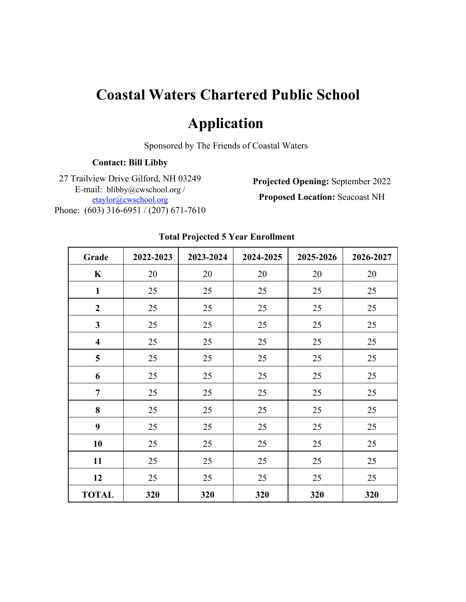# **Coastal Waters Chartered Public School**

# **Application**

Sponsored by The Friends of Coastal Waters

## **Contact: Bill Libby**

27 Trailview Drive Gilford, NH 03249 E-mail: blibby@cwschool.org / etaylor@cwschool.org Phone: (603) 316-6951 / (207) 671-7610

**Projected Opening:** September 2022 **Proposed Location:** Seacoast NH

| Grade                   | 2022-2023 | 2023-2024 | 2024-2025 | 2025-2026 | 2026-2027 |
|-------------------------|-----------|-----------|-----------|-----------|-----------|
| $\mathbf K$             | 20        | 20        | 20        | 20        | 20        |
| $\mathbf{1}$            | 25        | 25        | 25        | 25        | 25        |
| $\overline{2}$          | 25        | 25        | 25        | 25        | 25        |
| $\mathbf{3}$            | 25        | 25        | 25        | 25        | 25        |
| $\overline{\mathbf{4}}$ | 25        | 25        | 25        | 25        | 25        |
| 5                       | 25        | 25        | 25        | 25        | 25        |
| 6                       | 25        | 25        | 25        | 25        | 25        |
| $\overline{7}$          | 25        | 25        | 25        | 25        | 25        |
| 8                       | 25        | 25        | 25        | 25        | 25        |
| 9                       | 25        | 25        | 25        | 25        | 25        |
| 10                      | 25        | 25        | 25        | 25        | 25        |
| 11                      | 25        | 25        | 25        | 25        | 25        |
| 12                      | 25        | 25        | 25        | 25        | 25        |
| <b>TOTAL</b>            | 320       | 320       | 320       | 320       | 320       |

## **Total Projected 5 Year Enrollment**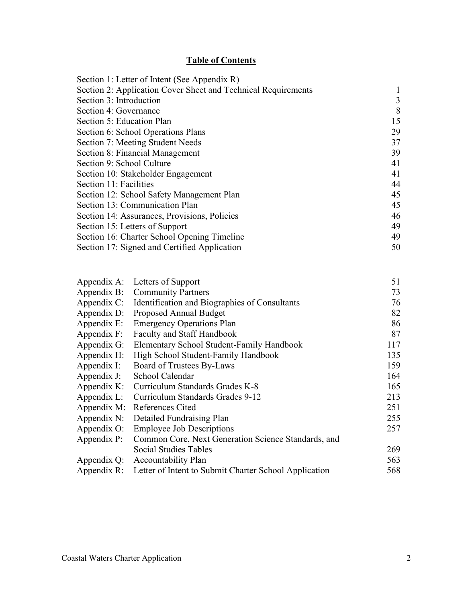# **Table of Contents**

| Section 1: Letter of Intent (See Appendix R)                  |    |
|---------------------------------------------------------------|----|
| Section 2: Application Cover Sheet and Technical Requirements |    |
| Section 3: Introduction                                       | 3  |
| Section 4: Governance                                         | 8  |
| Section 5: Education Plan                                     | 15 |
| Section 6: School Operations Plans                            | 29 |
| Section 7: Meeting Student Needs                              | 37 |
| Section 8: Financial Management                               | 39 |
| Section 9: School Culture                                     | 41 |
| Section 10: Stakeholder Engagement                            | 41 |
| Section 11: Facilities                                        | 44 |
| Section 12: School Safety Management Plan                     | 45 |
| Section 13: Communication Plan                                | 45 |
| Section 14: Assurances, Provisions, Policies                  | 46 |
| Section 15: Letters of Support                                | 49 |
| Section 16: Charter School Opening Timeline                   | 49 |
| Section 17: Signed and Certified Application                  | 50 |
|                                                               |    |

|             | Appendix A: Letters of Support                                    | 51  |
|-------------|-------------------------------------------------------------------|-----|
|             | Appendix B: Community Partners                                    | 73  |
|             | Appendix C: Identification and Biographies of Consultants         | 76  |
|             | Appendix D: Proposed Annual Budget                                | 82  |
| Appendix E: | <b>Emergency Operations Plan</b>                                  | 86  |
| Appendix F: | <b>Faculty and Staff Handbook</b>                                 | 87  |
| Appendix G: | Elementary School Student-Family Handbook                         | 117 |
| Appendix H: | High School Student-Family Handbook                               | 135 |
| Appendix I: | Board of Trustees By-Laws                                         | 159 |
| Appendix J: | School Calendar                                                   | 164 |
| Appendix K: | Curriculum Standards Grades K-8                                   | 165 |
| Appendix L: | Curriculum Standards Grades 9-12                                  | 213 |
| Appendix M: | References Cited                                                  | 251 |
| Appendix N: | Detailed Fundraising Plan                                         | 255 |
| Appendix O: | <b>Employee Job Descriptions</b>                                  | 257 |
| Appendix P: | Common Core, Next Generation Science Standards, and               |     |
|             | <b>Social Studies Tables</b>                                      | 269 |
|             | Appendix Q: Accountability Plan                                   | 563 |
|             | Appendix R: Letter of Intent to Submit Charter School Application | 568 |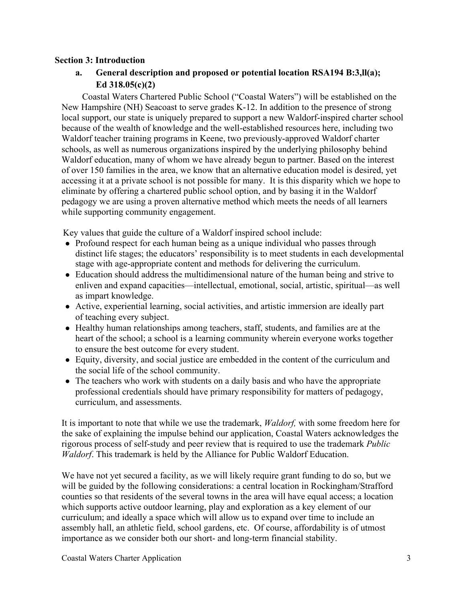#### **Section 3: Introduction**

# **a. General description and proposed or potential location RSA194 B:3,ll(a); Ed 318.05(c)(2)**

Coastal Waters Chartered Public School ("Coastal Waters") will be established on the New Hampshire (NH) Seacoast to serve grades K-12. In addition to the presence of strong local support, our state is uniquely prepared to support a new Waldorf-inspired charter school because of the wealth of knowledge and the well-established resources here, including two Waldorf teacher training programs in Keene, two previously-approved Waldorf charter schools, as well as numerous organizations inspired by the underlying philosophy behind Waldorf education, many of whom we have already begun to partner. Based on the interest of over 150 families in the area, we know that an alternative education model is desired, yet accessing it at a private school is not possible for many. It is this disparity which we hope to eliminate by offering a chartered public school option, and by basing it in the Waldorf pedagogy we are using a proven alternative method which meets the needs of all learners while supporting community engagement.

Key values that guide the culture of a Waldorf inspired school include:

- Profound respect for each human being as a unique individual who passes through distinct life stages; the educators' responsibility is to meet students in each developmental stage with age-appropriate content and methods for delivering the curriculum.
- Education should address the multidimensional nature of the human being and strive to enliven and expand capacities—intellectual, emotional, social, artistic, spiritual—as well as impart knowledge.
- Active, experiential learning, social activities, and artistic immersion are ideally part of teaching every subject.
- Healthy human relationships among teachers, staff, students, and families are at the heart of the school; a school is a learning community wherein everyone works together to ensure the best outcome for every student.
- Equity, diversity, and social justice are embedded in the content of the curriculum and the social life of the school community.
- The teachers who work with students on a daily basis and who have the appropriate professional credentials should have primary responsibility for matters of pedagogy, curriculum, and assessments.

It is important to note that while we use the trademark, *Waldorf,* with some freedom here for the sake of explaining the impulse behind our application, Coastal Waters acknowledges the rigorous process of self-study and peer review that is required to use the trademark *Public Waldorf*. This trademark is held by the Alliance for Public Waldorf Education.

We have not yet secured a facility, as we will likely require grant funding to do so, but we will be guided by the following considerations: a central location in Rockingham/Strafford counties so that residents of the several towns in the area will have equal access; a location which supports active outdoor learning, play and exploration as a key element of our curriculum; and ideally a space which will allow us to expand over time to include an assembly hall, an athletic field, school gardens, etc. Of course, affordability is of utmost importance as we consider both our short- and long-term financial stability.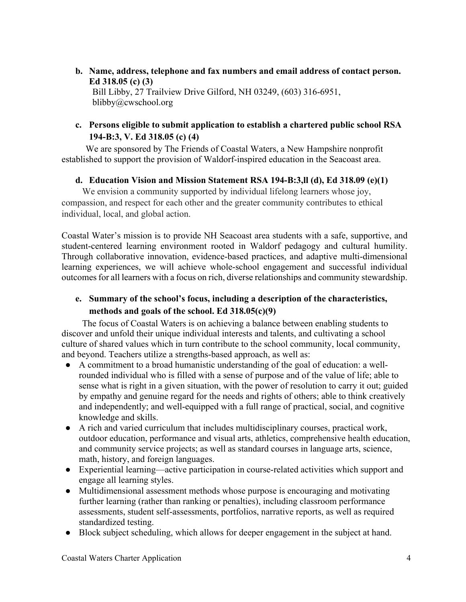- **b. Name, address, telephone and fax numbers and email address of contact person. Ed 318.05 (c) (3)**  Bill Libby, 27 Trailview Drive Gilford, NH 03249, (603) 316-6951, blibby@cwschool.org
- **c. Persons eligible to submit application to establish a chartered public school RSA 194-B:3, V. Ed 318.05 (c) (4)**

We are sponsored by The Friends of Coastal Waters, a New Hampshire nonprofit established to support the provision of Waldorf-inspired education in the Seacoast area.

## **d. Education Vision and Mission Statement RSA 194-B:3,ll (d), Ed 318.09 (e)(1)**

 We envision a community supported by individual lifelong learners whose joy, compassion, and respect for each other and the greater community contributes to ethical individual, local, and global action.

Coastal Water's mission is to provide NH Seacoast area students with a safe, supportive, and student-centered learning environment rooted in Waldorf pedagogy and cultural humility. Through collaborative innovation, evidence-based practices, and adaptive multi-dimensional learning experiences, we will achieve whole-school engagement and successful individual outcomes for all learners with a focus on rich, diverse relationships and community stewardship.

# **e. Summary of the school's focus, including a description of the characteristics, methods and goals of the school. Ed 318.05(c)(9)**

The focus of Coastal Waters is on achieving a balance between enabling students to discover and unfold their unique individual interests and talents, and cultivating a school culture of shared values which in turn contribute to the school community, local community, and beyond. Teachers utilize a strengths-based approach, as well as:

- A commitment to a broad humanistic understanding of the goal of education: a wellrounded individual who is filled with a sense of purpose and of the value of life; able to sense what is right in a given situation, with the power of resolution to carry it out; guided by empathy and genuine regard for the needs and rights of others; able to think creatively and independently; and well-equipped with a full range of practical, social, and cognitive knowledge and skills.
- A rich and varied curriculum that includes multidisciplinary courses, practical work, outdoor education, performance and visual arts, athletics, comprehensive health education, and community service projects; as well as standard courses in language arts, science, math, history, and foreign languages.
- Experiential learning—active participation in course-related activities which support and engage all learning styles.
- Multidimensional assessment methods whose purpose is encouraging and motivating further learning (rather than ranking or penalties), including classroom performance assessments, student self-assessments, portfolios, narrative reports, as well as required standardized testing.
- Block subject scheduling, which allows for deeper engagement in the subject at hand.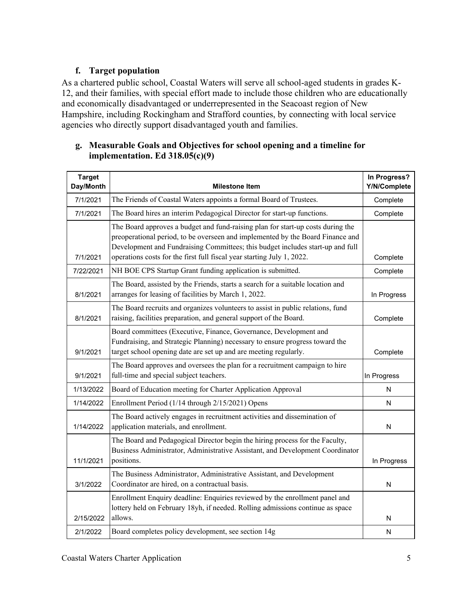## **f. Target population**

As a chartered public school, Coastal Waters will serve all school-aged students in grades K-12, and their families, with special effort made to include those children who are educationally and economically disadvantaged or underrepresented in the Seacoast region of New Hampshire, including Rockingham and Strafford counties, by connecting with local service agencies who directly support disadvantaged youth and families.

## **g. Measurable Goals and Objectives for school opening and a timeline for implementation. Ed 318.05(c)(9)**

| <b>Target</b><br>Day/Month | <b>Milestone Item</b>                                                                                                                                                                                                                                                                                                         | In Progress?<br>Y/N/Complete |
|----------------------------|-------------------------------------------------------------------------------------------------------------------------------------------------------------------------------------------------------------------------------------------------------------------------------------------------------------------------------|------------------------------|
| 7/1/2021                   | The Friends of Coastal Waters appoints a formal Board of Trustees.                                                                                                                                                                                                                                                            | Complete                     |
| 7/1/2021                   | The Board hires an interim Pedagogical Director for start-up functions.                                                                                                                                                                                                                                                       | Complete                     |
| 7/1/2021                   | The Board approves a budget and fund-raising plan for start-up costs during the<br>preoperational period, to be overseen and implemented by the Board Finance and<br>Development and Fundraising Committees; this budget includes start-up and full<br>operations costs for the first full fiscal year starting July 1, 2022. | Complete                     |
| 7/22/2021                  | NH BOE CPS Startup Grant funding application is submitted.                                                                                                                                                                                                                                                                    | Complete                     |
| 8/1/2021                   | The Board, assisted by the Friends, starts a search for a suitable location and<br>arranges for leasing of facilities by March 1, 2022.                                                                                                                                                                                       | In Progress                  |
| 8/1/2021                   | The Board recruits and organizes volunteers to assist in public relations, fund<br>raising, facilities preparation, and general support of the Board.                                                                                                                                                                         | Complete                     |
| 9/1/2021                   | Board committees (Executive, Finance, Governance, Development and<br>Fundraising, and Strategic Planning) necessary to ensure progress toward the<br>target school opening date are set up and are meeting regularly.                                                                                                         | Complete                     |
| 9/1/2021                   | The Board approves and oversees the plan for a recruitment campaign to hire<br>full-time and special subject teachers.                                                                                                                                                                                                        | In Progress                  |
| 1/13/2022                  | Board of Education meeting for Charter Application Approval                                                                                                                                                                                                                                                                   | N                            |
| 1/14/2022                  | Enrollment Period (1/14 through 2/15/2021) Opens                                                                                                                                                                                                                                                                              | N                            |
| 1/14/2022                  | The Board actively engages in recruitment activities and dissemination of<br>application materials, and enrollment.                                                                                                                                                                                                           | N                            |
| 11/1/2021                  | The Board and Pedagogical Director begin the hiring process for the Faculty,<br>Business Administrator, Administrative Assistant, and Development Coordinator<br>positions.                                                                                                                                                   | In Progress                  |
| 3/1/2022                   | The Business Administrator, Administrative Assistant, and Development<br>Coordinator are hired, on a contractual basis.                                                                                                                                                                                                       | N                            |
| 2/15/2022                  | Enrollment Enquiry deadline: Enquiries reviewed by the enrollment panel and<br>lottery held on February 18yh, if needed. Rolling admissions continue as space<br>allows.                                                                                                                                                      | N                            |
| 2/1/2022                   | Board completes policy development, see section 14g                                                                                                                                                                                                                                                                           | N                            |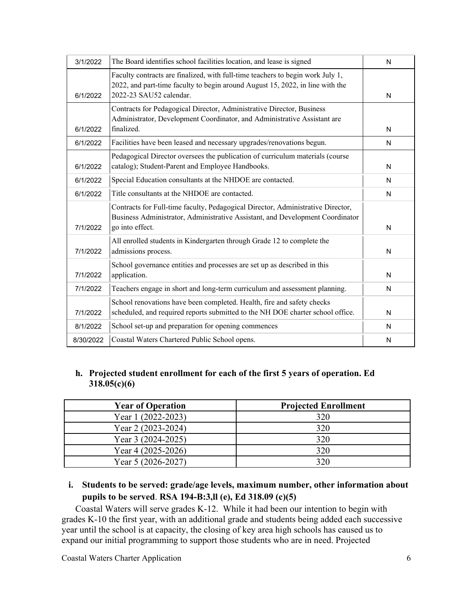| 3/1/2022  | The Board identifies school facilities location, and lease is signed                                                                                                                       | N |
|-----------|--------------------------------------------------------------------------------------------------------------------------------------------------------------------------------------------|---|
| 6/1/2022  | Faculty contracts are finalized, with full-time teachers to begin work July 1,<br>2022, and part-time faculty to begin around August 15, 2022, in line with the<br>2022-23 SAU52 calendar. | N |
| 6/1/2022  | Contracts for Pedagogical Director, Administrative Director, Business<br>Administrator, Development Coordinator, and Administrative Assistant are<br>finalized.                            | N |
| 6/1/2022  | Facilities have been leased and necessary upgrades/renovations begun.                                                                                                                      | N |
| 6/1/2022  | Pedagogical Director oversees the publication of curriculum materials (course<br>catalog); Student-Parent and Employee Handbooks.                                                          | N |
| 6/1/2022  | Special Education consultants at the NHDOE are contacted.                                                                                                                                  | N |
| 6/1/2022  | Title consultants at the NHDOE are contacted.                                                                                                                                              | N |
| 7/1/2022  | Contracts for Full-time faculty, Pedagogical Director, Administrative Director,<br>Business Administrator, Administrative Assistant, and Development Coordinator<br>go into effect.        | N |
| 7/1/2022  | All enrolled students in Kindergarten through Grade 12 to complete the<br>admissions process.                                                                                              | N |
| 7/1/2022  | School governance entities and processes are set up as described in this<br>application.                                                                                                   | N |
| 7/1/2022  | Teachers engage in short and long-term curriculum and assessment planning.                                                                                                                 | N |
| 7/1/2022  | School renovations have been completed. Health, fire and safety checks<br>scheduled, and required reports submitted to the NH DOE charter school office.                                   | N |
| 8/1/2022  | School set-up and preparation for opening commences                                                                                                                                        | N |
| 8/30/2022 | Coastal Waters Chartered Public School opens.                                                                                                                                              | N |

# **h. Projected student enrollment for each of the first 5 years of operation. Ed 318.05(c)(6)**

| <b>Year of Operation</b> | <b>Projected Enrollment</b> |
|--------------------------|-----------------------------|
| Year 1 (2022-2023)       | 320                         |
| Year 2 (2023-2024)       | 320                         |
| Year 3 (2024-2025)       | 320                         |
| Year 4 (2025-2026)       | 320                         |
| Year 5 (2026-2027)       | 320                         |

# **i. Students to be served: grade/age levels, maximum number, other information about pupils to be served**. **RSA 194-B:3,ll (e), Ed 318.09 (c)(5)**

Coastal Waters will serve grades K-12. While it had been our intention to begin with grades K-10 the first year, with an additional grade and students being added each successive year until the school is at capacity, the closing of key area high schools has caused us to expand our initial programming to support those students who are in need. Projected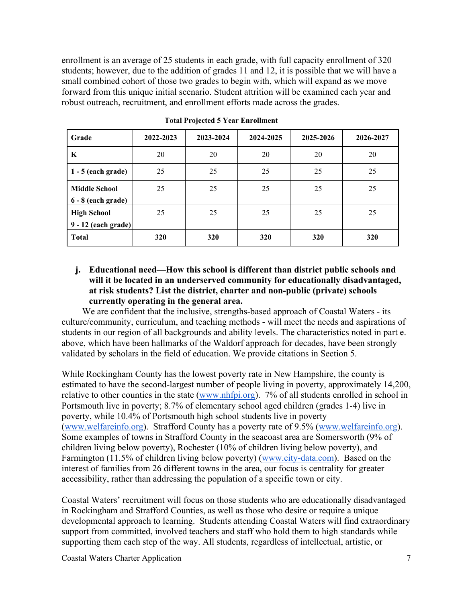enrollment is an average of 25 students in each grade, with full capacity enrollment of 320 students; however, due to the addition of grades 11 and 12, it is possible that we will have a small combined cohort of those two grades to begin with, which will expand as we move forward from this unique initial scenario. Student attrition will be examined each year and robust outreach, recruitment, and enrollment efforts made across the grades.

| Grade                 | 2022-2023 | 2023-2024 | 2024-2025 | 2025-2026 | 2026-2027 |
|-----------------------|-----------|-----------|-----------|-----------|-----------|
| K                     | 20        | 20        | 20        | 20        | 20        |
| $1 - 5$ (each grade)  | 25        | 25        | 25        | 25        | 25        |
| <b>Middle School</b>  | 25        | 25        | 25        | 25        | 25        |
| $6 - 8$ (each grade)  |           |           |           |           |           |
| <b>High School</b>    | 25        | 25        | 25        | 25        | 25        |
| $9 - 12$ (each grade) |           |           |           |           |           |
| <b>Total</b>          | 320       | 320       | 320       | 320       | 320       |

**Total Projected 5 Year Enrollment** 

#### **j. Educational need—How this school is different than district public schools and will it be located in an underserved community for educationally disadvantaged, at risk students? List the district, charter and non-public (private) schools currently operating in the general area.**

We are confident that the inclusive, strengths-based approach of Coastal Waters - its culture/community, curriculum, and teaching methods - will meet the needs and aspirations of students in our region of all backgrounds and ability levels. The characteristics noted in part e. above, which have been hallmarks of the Waldorf approach for decades, have been strongly validated by scholars in the field of education. We provide citations in Section 5.

While Rockingham County has the lowest poverty rate in New Hampshire, the county is estimated to have the second-largest number of people living in poverty, approximately 14,200, relative to other counties in the state (www.nhfpi.org). 7% of all students enrolled in school in Portsmouth live in poverty; 8.7% of elementary school aged children (grades 1-4) live in poverty, while 10.4% of Portsmouth high school students live in poverty (www.welfareinfo.org). Strafford County has a poverty rate of 9.5% (www.welfareinfo.org). Some examples of towns in Strafford County in the seacoast area are Somersworth (9% of children living below poverty), Rochester (10% of children living below poverty), and Farmington (11.5% of children living below poverty) (www.city-data.com). Based on the interest of families from 26 different towns in the area, our focus is centrality for greater accessibility, rather than addressing the population of a specific town or city.

Coastal Waters' recruitment will focus on those students who are educationally disadvantaged in Rockingham and Strafford Counties, as well as those who desire or require a unique developmental approach to learning. Students attending Coastal Waters will find extraordinary support from committed, involved teachers and staff who hold them to high standards while supporting them each step of the way. All students, regardless of intellectual, artistic, or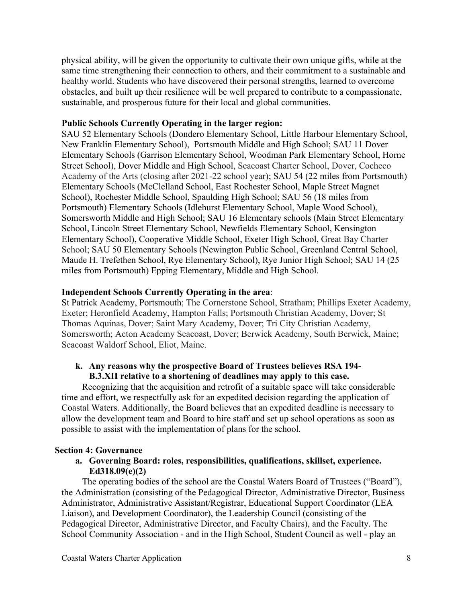physical ability, will be given the opportunity to cultivate their own unique gifts, while at the same time strengthening their connection to others, and their commitment to a sustainable and healthy world. Students who have discovered their personal strengths, learned to overcome obstacles, and built up their resilience will be well prepared to contribute to a compassionate, sustainable, and prosperous future for their local and global communities.

#### **Public Schools Currently Operating in the larger region:**

SAU 52 Elementary Schools (Dondero Elementary School, Little Harbour Elementary School, New Franklin Elementary School), Portsmouth Middle and High School; SAU 11 Dover Elementary Schools (Garrison Elementary School, Woodman Park Elementary School, Horne Street School), Dover Middle and High School, Seacoast Charter School, Dover, Cocheco Academy of the Arts (closing after 2021-22 school year); SAU 54 (22 miles from Portsmouth) Elementary Schools (McClelland School, East Rochester School, Maple Street Magnet School), Rochester Middle School, Spaulding High School; SAU 56 (18 miles from Portsmouth) Elementary Schools (Idlehurst Elementary School, Maple Wood School), Somersworth Middle and High School; SAU 16 Elementary schools (Main Street Elementary School, Lincoln Street Elementary School, Newfields Elementary School, Kensington Elementary School), Cooperative Middle School, Exeter High School, Great Bay Charter School; SAU 50 Elementary Schools (Newington Public School, Greenland Central School, Maude H. Trefethen School, Rye Elementary School), Rye Junior High School; SAU 14 (25 miles from Portsmouth) Epping Elementary, Middle and High School.

#### **Independent Schools Currently Operating in the area**:

St Patrick Academy, Portsmouth; The Cornerstone School, Stratham; Phillips Exeter Academy, Exeter; Heronfield Academy, Hampton Falls; Portsmouth Christian Academy, Dover; St Thomas Aquinas, Dover; Saint Mary Academy, Dover; Tri City Christian Academy, Somersworth; Acton Academy Seacoast, Dover; Berwick Academy, South Berwick, Maine; Seacoast Waldorf School, Eliot, Maine.

#### **k. Any reasons why the prospective Board of Trustees believes RSA 194- B.3.XII relative to a shortening of deadlines may apply to this case.**

Recognizing that the acquisition and retrofit of a suitable space will take considerable time and effort, we respectfully ask for an expedited decision regarding the application of Coastal Waters. Additionally, the Board believes that an expedited deadline is necessary to allow the development team and Board to hire staff and set up school operations as soon as possible to assist with the implementation of plans for the school.

#### **Section 4: Governance**

#### **a. Governing Board: roles, responsibilities, qualifications, skillset, experience. Ed318.09(e)(2)**

The operating bodies of the school are the Coastal Waters Board of Trustees ("Board"), the Administration (consisting of the Pedagogical Director, Administrative Director, Business Administrator, Administrative Assistant/Registrar, Educational Support Coordinator (LEA Liaison), and Development Coordinator), the Leadership Council (consisting of the Pedagogical Director, Administrative Director, and Faculty Chairs), and the Faculty. The School Community Association - and in the High School, Student Council as well - play an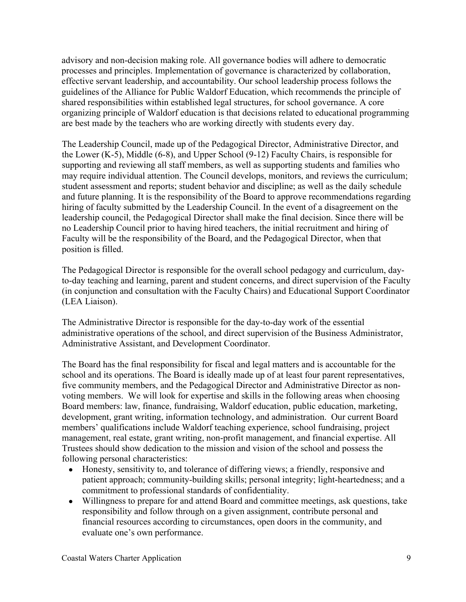advisory and non-decision making role. All governance bodies will adhere to democratic processes and principles. Implementation of governance is characterized by collaboration, effective servant leadership, and accountability. Our school leadership process follows the guidelines of the Alliance for Public Waldorf Education, which recommends the principle of shared responsibilities within established legal structures, for school governance. A core organizing principle of Waldorf education is that decisions related to educational programming are best made by the teachers who are working directly with students every day.

The Leadership Council, made up of the Pedagogical Director, Administrative Director, and the Lower (K-5), Middle (6-8), and Upper School (9-12) Faculty Chairs, is responsible for supporting and reviewing all staff members, as well as supporting students and families who may require individual attention. The Council develops, monitors, and reviews the curriculum; student assessment and reports; student behavior and discipline; as well as the daily schedule and future planning. It is the responsibility of the Board to approve recommendations regarding hiring of faculty submitted by the Leadership Council. In the event of a disagreement on the leadership council, the Pedagogical Director shall make the final decision. Since there will be no Leadership Council prior to having hired teachers, the initial recruitment and hiring of Faculty will be the responsibility of the Board, and the Pedagogical Director, when that position is filled.

The Pedagogical Director is responsible for the overall school pedagogy and curriculum, dayto-day teaching and learning, parent and student concerns, and direct supervision of the Faculty (in conjunction and consultation with the Faculty Chairs) and Educational Support Coordinator (LEA Liaison).

The Administrative Director is responsible for the day-to-day work of the essential administrative operations of the school, and direct supervision of the Business Administrator, Administrative Assistant, and Development Coordinator.

The Board has the final responsibility for fiscal and legal matters and is accountable for the school and its operations. The Board is ideally made up of at least four parent representatives, five community members, and the Pedagogical Director and Administrative Director as nonvoting members. We will look for expertise and skills in the following areas when choosing Board members: law, finance, fundraising, Waldorf education, public education, marketing, development, grant writing, information technology, and administration. Our current Board members' qualifications include Waldorf teaching experience, school fundraising, project management, real estate, grant writing, non-profit management, and financial expertise. All Trustees should show dedication to the mission and vision of the school and possess the following personal characteristics:

- Honesty, sensitivity to, and tolerance of differing views; a friendly, responsive and patient approach; community-building skills; personal integrity; light-heartedness; and a commitment to professional standards of confidentiality.
- Willingness to prepare for and attend Board and committee meetings, ask questions, take responsibility and follow through on a given assignment, contribute personal and financial resources according to circumstances, open doors in the community, and evaluate one's own performance.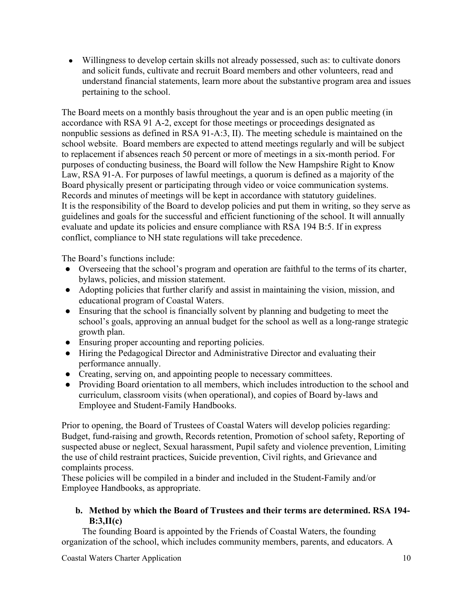• Willingness to develop certain skills not already possessed, such as: to cultivate donors and solicit funds, cultivate and recruit Board members and other volunteers, read and understand financial statements, learn more about the substantive program area and issues pertaining to the school.

The Board meets on a monthly basis throughout the year and is an open public meeting (in accordance with RSA 91 A-2, except for those meetings or proceedings designated as nonpublic sessions as defined in RSA 91-A:3, II). The meeting schedule is maintained on the school website. Board members are expected to attend meetings regularly and will be subject to replacement if absences reach 50 percent or more of meetings in a six-month period. For purposes of conducting business, the Board will follow the New Hampshire Right to Know Law, RSA 91-A. For purposes of lawful meetings, a quorum is defined as a majority of the Board physically present or participating through video or voice communication systems. Records and minutes of meetings will be kept in accordance with statutory guidelines. It is the responsibility of the Board to develop policies and put them in writing, so they serve as guidelines and goals for the successful and efficient functioning of the school. It will annually evaluate and update its policies and ensure compliance with RSA 194 B:5. If in express conflict, compliance to NH state regulations will take precedence.

The Board's functions include:

- Overseeing that the school's program and operation are faithful to the terms of its charter, bylaws, policies, and mission statement.
- Adopting policies that further clarify and assist in maintaining the vision, mission, and educational program of Coastal Waters.
- Ensuring that the school is financially solvent by planning and budgeting to meet the school's goals, approving an annual budget for the school as well as a long-range strategic growth plan.
- Ensuring proper accounting and reporting policies.
- Hiring the Pedagogical Director and Administrative Director and evaluating their performance annually.
- Creating, serving on, and appointing people to necessary committees.
- Providing Board orientation to all members, which includes introduction to the school and curriculum, classroom visits (when operational), and copies of Board by-laws and Employee and Student-Family Handbooks.

Prior to opening, the Board of Trustees of Coastal Waters will develop policies regarding: Budget, fund-raising and growth, Records retention, Promotion of school safety, Reporting of suspected abuse or neglect, Sexual harassment, Pupil safety and violence prevention, Limiting the use of child restraint practices, Suicide prevention, Civil rights, and Grievance and complaints process.

These policies will be compiled in a binder and included in the Student-Family and/or Employee Handbooks, as appropriate.

## **b. Method by which the Board of Trustees and their terms are determined. RSA 194- B:3,II(c)**

The founding Board is appointed by the Friends of Coastal Waters, the founding organization of the school, which includes community members, parents, and educators. A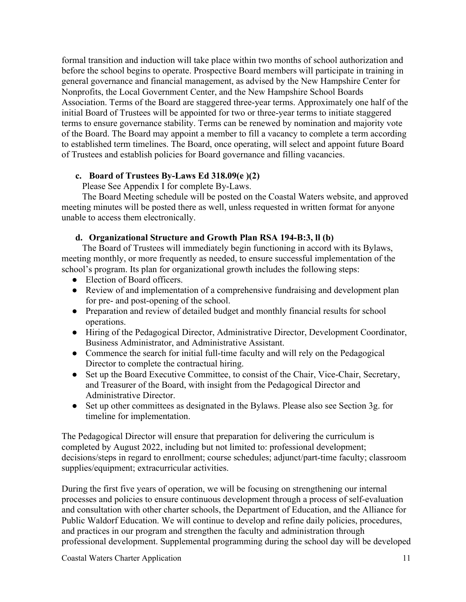formal transition and induction will take place within two months of school authorization and before the school begins to operate. Prospective Board members will participate in training in general governance and financial management, as advised by the New Hampshire Center for Nonprofits, the Local Government Center, and the New Hampshire School Boards Association. Terms of the Board are staggered three-year terms. Approximately one half of the initial Board of Trustees will be appointed for two or three-year terms to initiate staggered terms to ensure governance stability. Terms can be renewed by nomination and majority vote of the Board. The Board may appoint a member to fill a vacancy to complete a term according to established term timelines. The Board, once operating, will select and appoint future Board of Trustees and establish policies for Board governance and filling vacancies.

#### **c. Board of Trustees By-Laws Ed 318.09(e )(2)**

Please See Appendix I for complete By-Laws.

The Board Meeting schedule will be posted on the Coastal Waters website, and approved meeting minutes will be posted there as well, unless requested in written format for anyone unable to access them electronically.

## **d. Organizational Structure and Growth Plan RSA 194-B:3, ll (b)**

The Board of Trustees will immediately begin functioning in accord with its Bylaws, meeting monthly, or more frequently as needed, to ensure successful implementation of the school's program. Its plan for organizational growth includes the following steps:

- Election of Board officers.
- Review of and implementation of a comprehensive fundraising and development plan for pre- and post-opening of the school.
- Preparation and review of detailed budget and monthly financial results for school operations.
- Hiring of the Pedagogical Director, Administrative Director, Development Coordinator, Business Administrator, and Administrative Assistant.
- Commence the search for initial full-time faculty and will rely on the Pedagogical Director to complete the contractual hiring.
- Set up the Board Executive Committee, to consist of the Chair, Vice-Chair, Secretary, and Treasurer of the Board, with insight from the Pedagogical Director and Administrative Director.
- Set up other committees as designated in the Bylaws. Please also see Section 3g. for timeline for implementation.

The Pedagogical Director will ensure that preparation for delivering the curriculum is completed by August 2022, including but not limited to: professional development; decisions/steps in regard to enrollment; course schedules; adjunct/part-time faculty; classroom supplies/equipment; extracurricular activities.

During the first five years of operation, we will be focusing on strengthening our internal processes and policies to ensure continuous development through a process of self-evaluation and consultation with other charter schools, the Department of Education, and the Alliance for Public Waldorf Education. We will continue to develop and refine daily policies, procedures, and practices in our program and strengthen the faculty and administration through professional development. Supplemental programming during the school day will be developed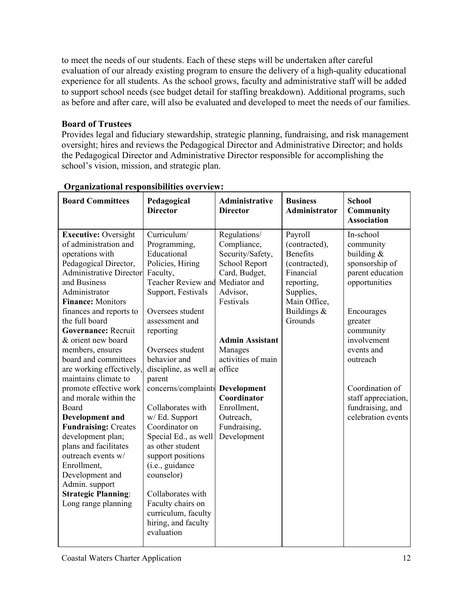to meet the needs of our students. Each of these steps will be undertaken after careful evaluation of our already existing program to ensure the delivery of a high-quality educational experience for all students. As the school grows, faculty and administrative staff will be added to support school needs (see budget detail for staffing breakdown). Additional programs, such as before and after care, will also be evaluated and developed to meet the needs of our families.

## **Board of Trustees**

Provides legal and fiduciary stewardship, strategic planning, fundraising, and risk management oversight; hires and reviews the Pedagogical Director and Administrative Director; and holds the Pedagogical Director and Administrative Director responsible for accomplishing the school's vision, mission, and strategic plan.

| <b>Board Committees</b>                               | Pedagogical<br><b>Director</b>   | <b>Administrative</b><br><b>Director</b> | <b>Business</b><br><b>Administrator</b> | <b>School</b><br><b>Community</b><br><b>Association</b> |
|-------------------------------------------------------|----------------------------------|------------------------------------------|-----------------------------------------|---------------------------------------------------------|
| <b>Executive: Oversight</b>                           | Curriculum/                      | Regulations/                             | Payroll                                 | In-school                                               |
| of administration and                                 | Programming,                     | Compliance,                              | (contracted),                           | community                                               |
| operations with                                       | Educational                      | Security/Safety,                         | <b>Benefits</b>                         | building $&$                                            |
| Pedagogical Director,                                 | Policies, Hiring                 | School Report                            | (contracted),                           | sponsorship of                                          |
| <b>Administrative Director</b>                        | Faculty,                         | Card, Budget,                            | Financial                               | parent education                                        |
| and Business                                          | <b>Teacher Review and</b>        | Mediator and                             | reporting,                              | opportunities                                           |
| Administrator                                         | Support, Festivals               | Advisor,                                 | Supplies,                               |                                                         |
| <b>Finance: Monitors</b>                              |                                  | Festivals                                | Main Office,                            |                                                         |
| finances and reports to                               | Oversees student                 |                                          | Buildings &                             | Encourages                                              |
| the full board                                        | assessment and                   |                                          | Grounds                                 | greater                                                 |
| Governance: Recruit                                   | reporting                        |                                          |                                         | community                                               |
| & orient new board                                    |                                  | <b>Admin Assistant</b>                   |                                         | involvement                                             |
| members, ensures                                      | Oversees student                 | Manages                                  |                                         | events and                                              |
| board and committees                                  | behavior and                     | activities of main                       |                                         | outreach                                                |
| are working effectively,                              | discipline, as well as           | office                                   |                                         |                                                         |
| maintains climate to                                  | parent                           |                                          |                                         |                                                         |
| promote effective work<br>and morale within the       | concerns/complaints              | Development<br>Coordinator               |                                         | Coordination of                                         |
|                                                       | Collaborates with                |                                          |                                         | staff appreciation,                                     |
| Board                                                 |                                  | Enrollment,<br>Outreach,                 |                                         | fundraising, and<br>celebration events                  |
| <b>Development and</b><br><b>Fundraising: Creates</b> | w/ Ed. Support<br>Coordinator on | Fundraising,                             |                                         |                                                         |
| development plan;                                     | Special Ed., as well             | Development                              |                                         |                                                         |
| plans and facilitates                                 | as other student                 |                                          |                                         |                                                         |
| outreach events w/                                    | support positions                |                                          |                                         |                                                         |
| Enrollment,                                           | (i.e., guidance                  |                                          |                                         |                                                         |
| Development and                                       | counselor)                       |                                          |                                         |                                                         |
| Admin. support                                        |                                  |                                          |                                         |                                                         |
| <b>Strategic Planning:</b>                            | Collaborates with                |                                          |                                         |                                                         |
| Long range planning                                   | Faculty chairs on                |                                          |                                         |                                                         |
|                                                       | curriculum, faculty              |                                          |                                         |                                                         |
|                                                       | hiring, and faculty              |                                          |                                         |                                                         |
|                                                       | evaluation                       |                                          |                                         |                                                         |
|                                                       |                                  |                                          |                                         |                                                         |

# **Organizational responsibilities overview:**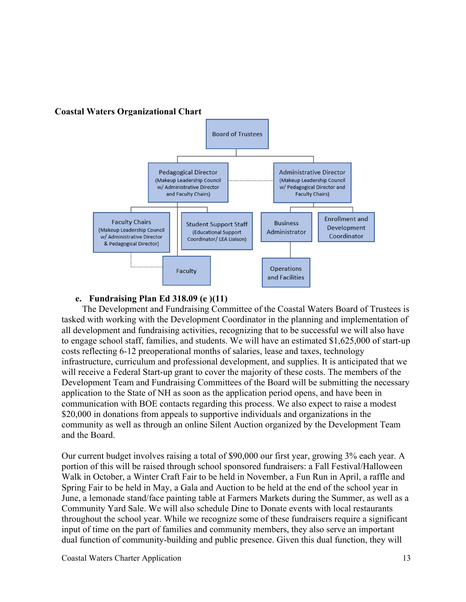

#### **e. Fundraising Plan Ed 318.09 (e )(11)**

The Development and Fundraising Committee of the Coastal Waters Board of Trustees is tasked with working with the Development Coordinator in the planning and implementation of all development and fundraising activities, recognizing that to be successful we will also have to engage school staff, families, and students. We will have an estimated \$1,625,000 of start-up costs reflecting 6-12 preoperational months of salaries, lease and taxes, technology infrastructure, curriculum and professional development, and supplies. It is anticipated that we will receive a Federal Start-up grant to cover the majority of these costs. The members of the Development Team and Fundraising Committees of the Board will be submitting the necessary application to the State of NH as soon as the application period opens, and have been in communication with BOE contacts regarding this process. We also expect to raise a modest \$20,000 in donations from appeals to supportive individuals and organizations in the community as well as through an online Silent Auction organized by the Development Team and the Board.

Our current budget involves raising a total of \$90,000 our first year, growing 3% each year. A portion of this will be raised through school sponsored fundraisers: a Fall Festival/Halloween Walk in October, a Winter Craft Fair to be held in November, a Fun Run in April, a raffle and Spring Fair to be held in May, a Gala and Auction to be held at the end of the school year in June, a lemonade stand/face painting table at Farmers Markets during the Summer, as well as a Community Yard Sale. We will also schedule Dine to Donate events with local restaurants throughout the school year. While we recognize some of these fundraisers require a significant input of time on the part of families and community members, they also serve an important dual function of community-building and public presence. Given this dual function, they will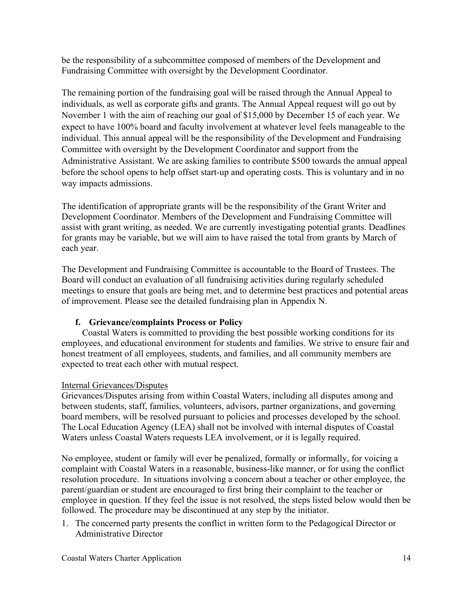be the responsibility of a subcommittee composed of members of the Development and Fundraising Committee with oversight by the Development Coordinator.

The remaining portion of the fundraising goal will be raised through the Annual Appeal to individuals, as well as corporate gifts and grants. The Annual Appeal request will go out by November 1 with the aim of reaching our goal of \$15,000 by December 15 of each year. We expect to have 100% board and faculty involvement at whatever level feels manageable to the individual. This annual appeal will be the responsibility of the Development and Fundraising Committee with oversight by the Development Coordinator and support from the Administrative Assistant. We are asking families to contribute \$500 towards the annual appeal before the school opens to help offset start-up and operating costs. This is voluntary and in no way impacts admissions.

The identification of appropriate grants will be the responsibility of the Grant Writer and Development Coordinator. Members of the Development and Fundraising Committee will assist with grant writing, as needed. We are currently investigating potential grants. Deadlines for grants may be variable, but we will aim to have raised the total from grants by March of each year.

The Development and Fundraising Committee is accountable to the Board of Trustees. The Board will conduct an evaluation of all fundraising activities during regularly scheduled meetings to ensure that goals are being met, and to determine best practices and potential areas of improvement. Please see the detailed fundraising plan in Appendix N.

# **f. Grievance/complaints Process or Policy**

Coastal Waters is committed to providing the best possible working conditions for its employees, and educational environment for students and families. We strive to ensure fair and honest treatment of all employees, students, and families, and all community members are expected to treat each other with mutual respect.

## Internal Grievances/Disputes

Grievances/Disputes arising from within Coastal Waters, including all disputes among and between students, staff, families, volunteers, advisors, partner organizations, and governing board members, will be resolved pursuant to policies and processes developed by the school. The Local Education Agency (LEA) shall not be involved with internal disputes of Coastal Waters unless Coastal Waters requests LEA involvement, or it is legally required.

No employee, student or family will ever be penalized, formally or informally, for voicing a complaint with Coastal Waters in a reasonable, business-like manner, or for using the conflict resolution procedure. In situations involving a concern about a teacher or other employee, the parent/guardian or student are encouraged to first bring their complaint to the teacher or employee in question. If they feel the issue is not resolved, the steps listed below would then be followed. The procedure may be discontinued at any step by the initiator.

1. The concerned party presents the conflict in written form to the Pedagogical Director or Administrative Director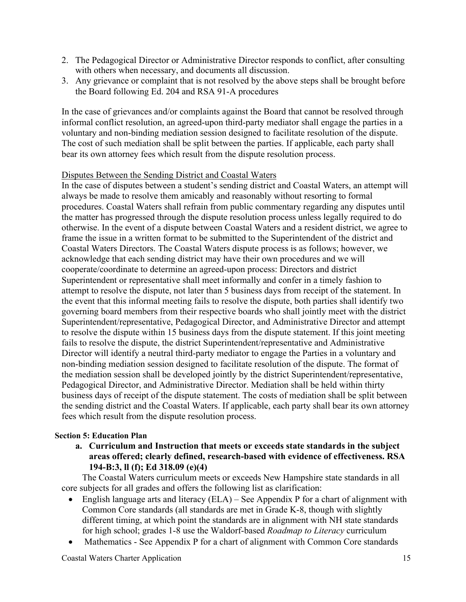- 2. The Pedagogical Director or Administrative Director responds to conflict, after consulting with others when necessary, and documents all discussion.
- 3. Any grievance or complaint that is not resolved by the above steps shall be brought before the Board following Ed. 204 and RSA 91-A procedures

In the case of grievances and/or complaints against the Board that cannot be resolved through informal conflict resolution, an agreed-upon third-party mediator shall engage the parties in a voluntary and non-binding mediation session designed to facilitate resolution of the dispute. The cost of such mediation shall be split between the parties. If applicable, each party shall bear its own attorney fees which result from the dispute resolution process.

## Disputes Between the Sending District and Coastal Waters

In the case of disputes between a student's sending district and Coastal Waters, an attempt will always be made to resolve them amicably and reasonably without resorting to formal procedures. Coastal Waters shall refrain from public commentary regarding any disputes until the matter has progressed through the dispute resolution process unless legally required to do otherwise. In the event of a dispute between Coastal Waters and a resident district, we agree to frame the issue in a written format to be submitted to the Superintendent of the district and Coastal Waters Directors. The Coastal Waters dispute process is as follows; however, we acknowledge that each sending district may have their own procedures and we will cooperate/coordinate to determine an agreed-upon process: Directors and district Superintendent or representative shall meet informally and confer in a timely fashion to attempt to resolve the dispute, not later than 5 business days from receipt of the statement. In the event that this informal meeting fails to resolve the dispute, both parties shall identify two governing board members from their respective boards who shall jointly meet with the district Superintendent/representative, Pedagogical Director, and Administrative Director and attempt to resolve the dispute within 15 business days from the dispute statement. If this joint meeting fails to resolve the dispute, the district Superintendent/representative and Administrative Director will identify a neutral third-party mediator to engage the Parties in a voluntary and non-binding mediation session designed to facilitate resolution of the dispute. The format of the mediation session shall be developed jointly by the district Superintendent/representative, Pedagogical Director, and Administrative Director. Mediation shall be held within thirty business days of receipt of the dispute statement. The costs of mediation shall be split between the sending district and the Coastal Waters. If applicable, each party shall bear its own attorney fees which result from the dispute resolution process.

#### **Section 5: Education Plan**

**a. Curriculum and Instruction that meets or exceeds state standards in the subject areas offered; clearly defined, research-based with evidence of effectiveness. RSA 194-B:3, ll (f); Ed 318.09 (e)(4)**

The Coastal Waters curriculum meets or exceeds New Hampshire state standards in all core subjects for all grades and offers the following list as clarification:

- English language arts and literacy  $(ELA)$  See Appendix P for a chart of alignment with Common Core standards (all standards are met in Grade K-8, though with slightly different timing, at which point the standards are in alignment with NH state standards for high school; grades 1-8 use the Waldorf-based *Roadmap to Literacy* curriculum
- Mathematics See Appendix P for a chart of alignment with Common Core standards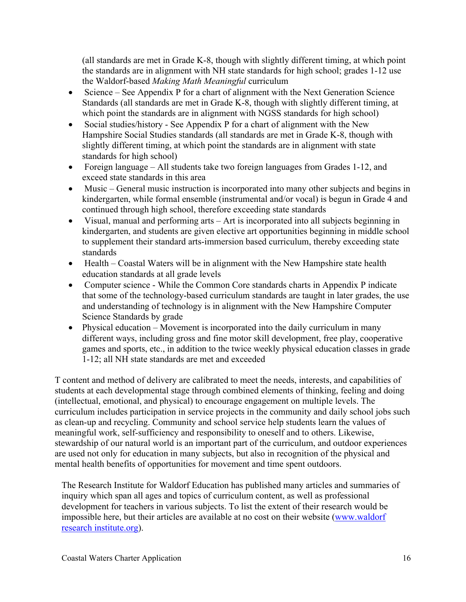(all standards are met in Grade K-8, though with slightly different timing, at which point the standards are in alignment with NH state standards for high school; grades 1-12 use the Waldorf-based *Making Math Meaningful* curriculum

- Science See Appendix P for a chart of alignment with the Next Generation Science Standards (all standards are met in Grade K-8, though with slightly different timing, at which point the standards are in alignment with NGSS standards for high school)
- Social studies/history See Appendix P for a chart of alignment with the New Hampshire Social Studies standards (all standards are met in Grade K-8, though with slightly different timing, at which point the standards are in alignment with state standards for high school)
- Foreign language All students take two foreign languages from Grades 1-12, and exceed state standards in this area
- Music General music instruction is incorporated into many other subjects and begins in kindergarten, while formal ensemble (instrumental and/or vocal) is begun in Grade 4 and continued through high school, therefore exceeding state standards
- Visual, manual and performing arts Art is incorporated into all subjects beginning in kindergarten, and students are given elective art opportunities beginning in middle school to supplement their standard arts-immersion based curriculum, thereby exceeding state standards
- $\bullet$  Health Coastal Waters will be in alignment with the New Hampshire state health education standards at all grade levels
- Computer science While the Common Core standards charts in Appendix P indicate that some of the technology-based curriculum standards are taught in later grades, the use and understanding of technology is in alignment with the New Hampshire Computer Science Standards by grade
- Physical education Movement is incorporated into the daily curriculum in many different ways, including gross and fine motor skill development, free play, cooperative games and sports, etc., in addition to the twice weekly physical education classes in grade 1-12; all NH state standards are met and exceeded

T content and method of delivery are calibrated to meet the needs, interests, and capabilities of students at each developmental stage through combined elements of thinking, feeling and doing (intellectual, emotional, and physical) to encourage engagement on multiple levels. The curriculum includes participation in service projects in the community and daily school jobs such as clean-up and recycling. Community and school service help students learn the values of meaningful work, self-sufficiency and responsibility to oneself and to others. Likewise, stewardship of our natural world is an important part of the curriculum, and outdoor experiences are used not only for education in many subjects, but also in recognition of the physical and mental health benefits of opportunities for movement and time spent outdoors.

The Research Institute for Waldorf Education has published many articles and summaries of inquiry which span all ages and topics of curriculum content, as well as professional development for teachers in various subjects. To list the extent of their research would be impossible here, but their articles are available at no cost on their website (www.waldorf research institute.org).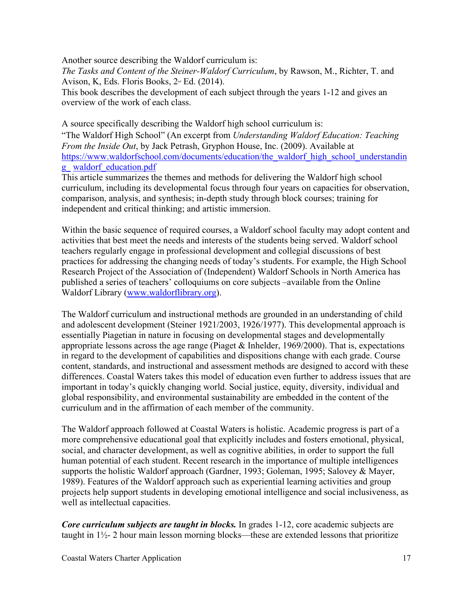Another source describing the Waldorf curriculum is:

*The Tasks and Content of the Steiner-Waldorf Curriculum*, by Rawson, M., Richter, T. and Avison, K, Eds. Floris Books,  $2<sup>nd</sup>$  Ed. (2014).

This book describes the development of each subject through the years 1-12 and gives an overview of the work of each class.

A source specifically describing the Waldorf high school curriculum is:

"The Waldorf High School" (An excerpt from *Understanding Waldorf Education: Teaching From the Inside Out*, by Jack Petrash, Gryphon House, Inc. (2009). Available at https://www.waldorfschool.com/documents/education/the\_waldorf\_high\_school\_understandin g\_ waldorf\_education.pdf

This article summarizes the themes and methods for delivering the Waldorf high school curriculum, including its developmental focus through four years on capacities for observation, comparison, analysis, and synthesis; in-depth study through block courses; training for independent and critical thinking; and artistic immersion.

Within the basic sequence of required courses, a Waldorf school faculty may adopt content and activities that best meet the needs and interests of the students being served. Waldorf school teachers regularly engage in professional development and collegial discussions of best practices for addressing the changing needs of today's students. For example, the High School Research Project of the Association of (Independent) Waldorf Schools in North America has published a series of teachers' colloquiums on core subjects –available from the Online Waldorf Library (www.waldorflibrary.org).

The Waldorf curriculum and instructional methods are grounded in an understanding of child and adolescent development (Steiner 1921/2003, 1926/1977). This developmental approach is essentially Piagetian in nature in focusing on developmental stages and developmentally appropriate lessons across the age range (Piaget & Inhelder, 1969/2000). That is, expectations in regard to the development of capabilities and dispositions change with each grade. Course content, standards, and instructional and assessment methods are designed to accord with these differences. Coastal Waters takes this model of education even further to address issues that are important in today's quickly changing world. Social justice, equity, diversity, individual and global responsibility, and environmental sustainability are embedded in the content of the curriculum and in the affirmation of each member of the community.

The Waldorf approach followed at Coastal Waters is holistic. Academic progress is part of a more comprehensive educational goal that explicitly includes and fosters emotional, physical, social, and character development, as well as cognitive abilities, in order to support the full human potential of each student. Recent research in the importance of multiple intelligences supports the holistic Waldorf approach (Gardner, 1993; Goleman, 1995; Salovey & Mayer, 1989). Features of the Waldorf approach such as experiential learning activities and group projects help support students in developing emotional intelligence and social inclusiveness, as well as intellectual capacities.

*Core curriculum subjects are taught in blocks.* In grades 1-12, core academic subjects are taught in 1½- 2 hour main lesson morning blocks—these are extended lessons that prioritize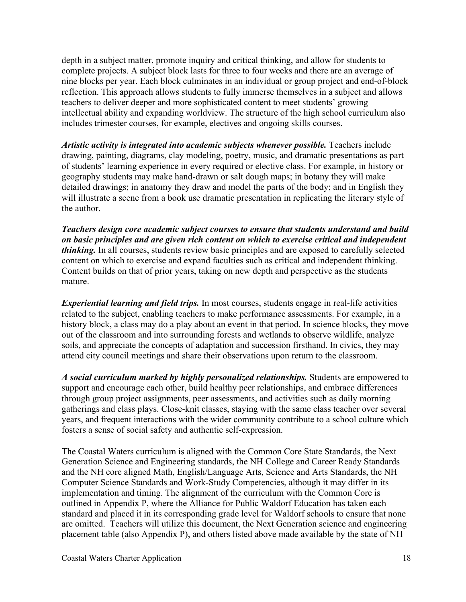depth in a subject matter, promote inquiry and critical thinking, and allow for students to complete projects. A subject block lasts for three to four weeks and there are an average of nine blocks per year. Each block culminates in an individual or group project and end-of-block reflection. This approach allows students to fully immerse themselves in a subject and allows teachers to deliver deeper and more sophisticated content to meet students' growing intellectual ability and expanding worldview. The structure of the high school curriculum also includes trimester courses, for example, electives and ongoing skills courses.

*Artistic activity is integrated into academic subjects whenever possible.* Teachers include drawing, painting, diagrams, clay modeling, poetry, music, and dramatic presentations as part of students' learning experience in every required or elective class. For example, in history or geography students may make hand-drawn or salt dough maps; in botany they will make detailed drawings; in anatomy they draw and model the parts of the body; and in English they will illustrate a scene from a book use dramatic presentation in replicating the literary style of the author.

*Teachers design core academic subject courses to ensure that students understand and build on basic principles and are given rich content on which to exercise critical and independent thinking.* In all courses, students review basic principles and are exposed to carefully selected content on which to exercise and expand faculties such as critical and independent thinking. Content builds on that of prior years, taking on new depth and perspective as the students mature.

*Experiential learning and field trips.* In most courses, students engage in real-life activities related to the subject, enabling teachers to make performance assessments. For example, in a history block, a class may do a play about an event in that period. In science blocks, they move out of the classroom and into surrounding forests and wetlands to observe wildlife, analyze soils, and appreciate the concepts of adaptation and succession firsthand. In civics, they may attend city council meetings and share their observations upon return to the classroom.

*A social curriculum marked by highly personalized relationships.* Students are empowered to support and encourage each other, build healthy peer relationships, and embrace differences through group project assignments, peer assessments, and activities such as daily morning gatherings and class plays. Close-knit classes, staying with the same class teacher over several years, and frequent interactions with the wider community contribute to a school culture which fosters a sense of social safety and authentic self-expression.

The Coastal Waters curriculum is aligned with the Common Core State Standards, the Next Generation Science and Engineering standards, the NH College and Career Ready Standards and the NH core aligned Math, English/Language Arts, Science and Arts Standards, the NH Computer Science Standards and Work-Study Competencies, although it may differ in its implementation and timing. The alignment of the curriculum with the Common Core is outlined in Appendix P, where the Alliance for Public Waldorf Education has taken each standard and placed it in its corresponding grade level for Waldorf schools to ensure that none are omitted. Teachers will utilize this document, the Next Generation science and engineering placement table (also Appendix P), and others listed above made available by the state of NH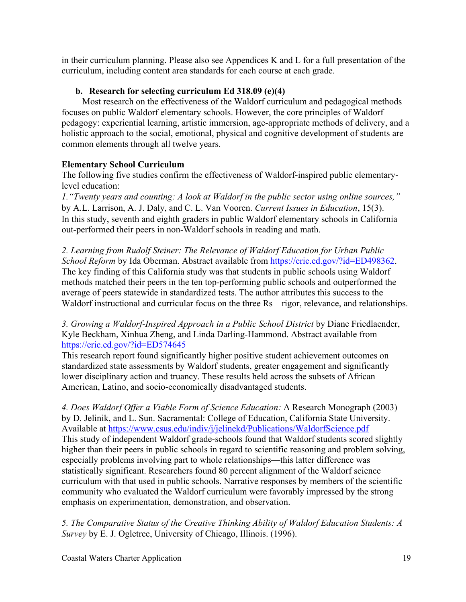in their curriculum planning. Please also see Appendices K and L for a full presentation of the curriculum, including content area standards for each course at each grade.

## **b. Research for selecting curriculum Ed 318.09 (e)(4)**

Most research on the effectiveness of the Waldorf curriculum and pedagogical methods focuses on public Waldorf elementary schools. However, the core principles of Waldorf pedagogy: experiential learning, artistic immersion, age-appropriate methods of delivery, and a holistic approach to the social, emotional, physical and cognitive development of students are common elements through all twelve years.

## **Elementary School Curriculum**

The following five studies confirm the effectiveness of Waldorf-inspired public elementarylevel education:

*1."Twenty years and counting: A look at Waldorf in the public sector using online sources,"* by A.L. Larrison, A. J. Daly, and C. L. Van Vooren. *Current Issues in Education*, 15(3). In this study, seventh and eighth graders in public Waldorf elementary schools in California out-performed their peers in non-Waldorf schools in reading and math.

*2. Learning from Rudolf Steiner: The Relevance of Waldorf Education for Urban Public School Reform* by Ida Oberman. Abstract available from https://eric.ed.gov/?id=ED498362. The key finding of this California study was that students in public schools using Waldorf methods matched their peers in the ten top-performing public schools and outperformed the average of peers statewide in standardized tests. The author attributes this success to the Waldorf instructional and curricular focus on the three Rs—rigor, relevance, and relationships.

*3. Growing a Waldorf-Inspired Approach in a Public School District* by Diane Friedlaender, Kyle Beckham, Xinhua Zheng, and Linda Darling-Hammond. Abstract available from https://eric.ed.gov/?id=ED574645

This research report found significantly higher positive student achievement outcomes on standardized state assessments by Waldorf students, greater engagement and significantly lower disciplinary action and truancy. These results held across the subsets of African American, Latino, and socio-economically disadvantaged students.

*4. Does Waldorf Offer a Viable Form of Science Education:* A Research Monograph (2003) by D. Jelinik, and L. Sun. Sacramental: College of Education, California State University. Available at https://www.csus.edu/indiv/j/jelinekd/Publications/WaldorfScience.pdf This study of independent Waldorf grade-schools found that Waldorf students scored slightly higher than their peers in public schools in regard to scientific reasoning and problem solving, especially problems involving part to whole relationships—this latter difference was statistically significant. Researchers found 80 percent alignment of the Waldorf science curriculum with that used in public schools. Narrative responses by members of the scientific community who evaluated the Waldorf curriculum were favorably impressed by the strong emphasis on experimentation, demonstration, and observation.

*5. The Comparative Status of the Creative Thinking Ability of Waldorf Education Students: A Survey* by E. J. Ogletree, University of Chicago, Illinois. (1996).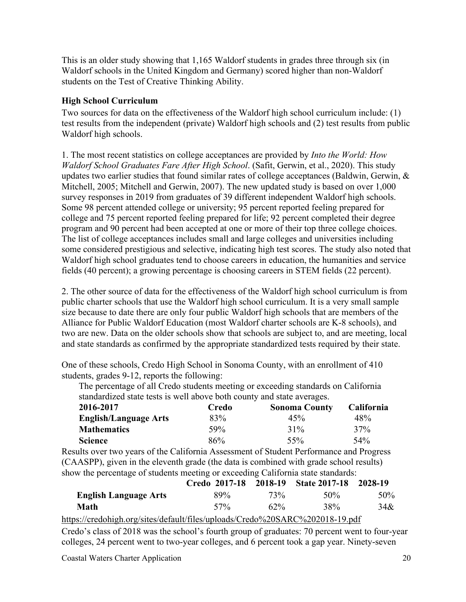This is an older study showing that 1,165 Waldorf students in grades three through six (in Waldorf schools in the United Kingdom and Germany) scored higher than non-Waldorf students on the Test of Creative Thinking Ability.

## **High School Curriculum**

Two sources for data on the effectiveness of the Waldorf high school curriculum include: (1) test results from the independent (private) Waldorf high schools and (2) test results from public Waldorf high schools.

1. The most recent statistics on college acceptances are provided by *Into the World: How Waldorf School Graduates Fare After High School*. (Safit, Gerwin, et al., 2020). This study updates two earlier studies that found similar rates of college acceptances (Baldwin, Gerwin,  $\&$ Mitchell, 2005; Mitchell and Gerwin, 2007). The new updated study is based on over 1,000 survey responses in 2019 from graduates of 39 different independent Waldorf high schools. Some 98 percent attended college or university; 95 percent reported feeling prepared for college and 75 percent reported feeling prepared for life; 92 percent completed their degree program and 90 percent had been accepted at one or more of their top three college choices. The list of college acceptances includes small and large colleges and universities including some considered prestigious and selective, indicating high test scores. The study also noted that Waldorf high school graduates tend to choose careers in education, the humanities and service fields (40 percent); a growing percentage is choosing careers in STEM fields (22 percent).

2. The other source of data for the effectiveness of the Waldorf high school curriculum is from public charter schools that use the Waldorf high school curriculum. It is a very small sample size because to date there are only four public Waldorf high schools that are members of the Alliance for Public Waldorf Education (most Waldorf charter schools are K-8 schools), and two are new. Data on the older schools show that schools are subject to, and are meeting, local and state standards as confirmed by the appropriate standardized tests required by their state.

One of these schools, Credo High School in Sonoma County, with an enrollment of 410 students, grades 9-12, reports the following:

The percentage of all Credo students meeting or exceeding standards on California standardized state tests is well above both county and state averages.

| 2016-2017                    | Credo | <b>Sonoma County</b> | <b>California</b> |
|------------------------------|-------|----------------------|-------------------|
| <b>English/Language Arts</b> | 83%   | 45%                  | 48%               |
| <b>Mathematics</b>           | 59%   | 31%                  | 37%               |
| <b>Science</b>               | 86%   | 55%                  | 54%               |

Results over two years of the California Assessment of Student Performance and Progress (CAASPP), given in the eleventh grade (the data is combined with grade school results) show the percentage of students meeting or exceeding California state standards:

|                                                                              | Credo 2017-18 2018-19 State 2017-18 2028-19 |        |      |     |
|------------------------------------------------------------------------------|---------------------------------------------|--------|------|-----|
| <b>English Language Arts</b>                                                 | 89%                                         | 73%    | 50\% | 50% |
| Math                                                                         | $57\%$                                      | $62\%$ | 38%  | 34& |
| https://credohigh.org/sites/default/files/uploads/Credo%20SARC%202018-19.pdf |                                             |        |      |     |

Credo's class of 2018 was the school's fourth group of graduates: 70 percent went to four-year colleges, 24 percent went to two-year colleges, and 6 percent took a gap year. Ninety-seven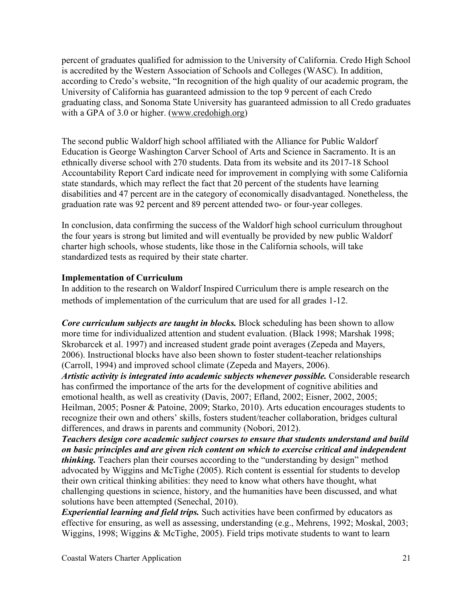percent of graduates qualified for admission to the University of California. Credo High School is accredited by the Western Association of Schools and Colleges (WASC). In addition, according to Credo's website, "In recognition of the high quality of our academic program, the University of California has guaranteed admission to the top 9 percent of each Credo graduating class, and Sonoma State University has guaranteed admission to all Credo graduates with a GPA of 3.0 or higher. (www.credohigh.org)

The second public Waldorf high school affiliated with the Alliance for Public Waldorf Education is George Washington Carver School of Arts and Science in Sacramento. It is an ethnically diverse school with 270 students. Data from its website and its 2017-18 School Accountability Report Card indicate need for improvement in complying with some California state standards, which may reflect the fact that 20 percent of the students have learning disabilities and 47 percent are in the category of economically disadvantaged. Nonetheless, the graduation rate was 92 percent and 89 percent attended two- or four-year colleges.

In conclusion, data confirming the success of the Waldorf high school curriculum throughout the four years is strong but limited and will eventually be provided by new public Waldorf charter high schools, whose students, like those in the California schools, will take standardized tests as required by their state charter.

## **Implementation of Curriculum**

In addition to the research on Waldorf Inspired Curriculum there is ample research on the methods of implementation of the curriculum that are used for all grades 1-12.

*Core curriculum subjects are taught in blocks.* Block scheduling has been shown to allow more time for individualized attention and student evaluation. (Black 1998; Marshak 1998; Skrobarcek et al. 1997) and increased student grade point averages (Zepeda and Mayers, 2006). Instructional blocks have also been shown to foster student-teacher relationships (Carroll, 1994) and improved school climate (Zepeda and Mayers, 2006). *Artistic activity is integrated into academic subjects whenever possible.* Considerable research has confirmed the importance of the arts for the development of cognitive abilities and

emotional health, as well as creativity (Davis, 2007; Efland, 2002; Eisner, 2002, 2005; Heilman, 2005; Posner & Patoine, 2009; Starko, 2010). Arts education encourages students to recognize their own and others' skills, fosters student/teacher collaboration, bridges cultural differences, and draws in parents and community (Nobori, 2012).

*Teachers design core academic subject courses to ensure that students understand and build on basic principles and are given rich content on which to exercise critical and independent thinking*. Teachers plan their courses according to the "understanding by design" method advocated by Wiggins and McTighe (2005). Rich content is essential for students to develop their own critical thinking abilities: they need to know what others have thought, what challenging questions in science, history, and the humanities have been discussed, and what solutions have been attempted (Senechal, 2010).

*Experiential learning and field trips.* Such activities have been confirmed by educators as effective for ensuring, as well as assessing, understanding (e.g., Mehrens, 1992; Moskal, 2003; Wiggins, 1998; Wiggins & McTighe, 2005). Field trips motivate students to want to learn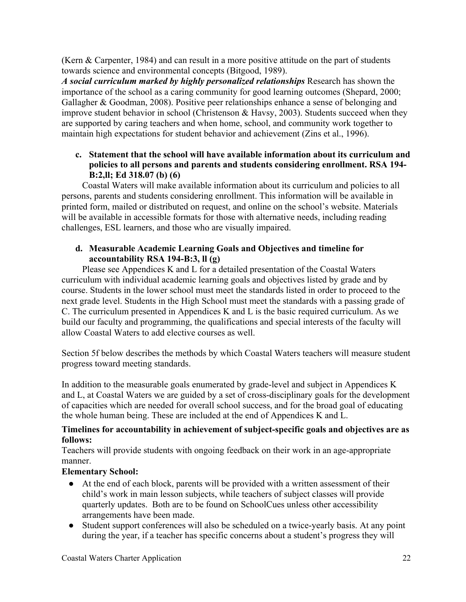(Kern & Carpenter, 1984) and can result in a more positive attitude on the part of students towards science and environmental concepts (Bitgood, 1989).

*A social curriculum marked by highly personalized relationships* Research has shown the importance of the school as a caring community for good learning outcomes (Shepard, 2000; Gallagher & Goodman, 2008). Positive peer relationships enhance a sense of belonging and improve student behavior in school (Christenson & Havsy, 2003). Students succeed when they are supported by caring teachers and when home, school, and community work together to maintain high expectations for student behavior and achievement (Zins et al., 1996).

## **c. Statement that the school will have available information about its curriculum and policies to all persons and parents and students considering enrollment. RSA 194- B:2,ll; Ed 318.07 (b) (6)**

Coastal Waters will make available information about its curriculum and policies to all persons, parents and students considering enrollment. This information will be available in printed form, mailed or distributed on request, and online on the school's website. Materials will be available in accessible formats for those with alternative needs, including reading challenges, ESL learners, and those who are visually impaired.

## **d. Measurable Academic Learning Goals and Objectives and timeline for accountability RSA 194-B:3, ll (g)**

Please see Appendices K and L for a detailed presentation of the Coastal Waters curriculum with individual academic learning goals and objectives listed by grade and by course. Students in the lower school must meet the standards listed in order to proceed to the next grade level. Students in the High School must meet the standards with a passing grade of C. The curriculum presented in Appendices K and L is the basic required curriculum. As we build our faculty and programming, the qualifications and special interests of the faculty will allow Coastal Waters to add elective courses as well.

Section 5f below describes the methods by which Coastal Waters teachers will measure student progress toward meeting standards.

In addition to the measurable goals enumerated by grade-level and subject in Appendices K and L, at Coastal Waters we are guided by a set of cross-disciplinary goals for the development of capacities which are needed for overall school success, and for the broad goal of educating the whole human being. These are included at the end of Appendices K and L.

## **Timelines for accountability in achievement of subject-specific goals and objectives are as follows:**

Teachers will provide students with ongoing feedback on their work in an age-appropriate manner.

## **Elementary School:**

- At the end of each block, parents will be provided with a written assessment of their child's work in main lesson subjects, while teachers of subject classes will provide quarterly updates. Both are to be found on SchoolCues unless other accessibility arrangements have been made.
- Student support conferences will also be scheduled on a twice-yearly basis. At any point during the year, if a teacher has specific concerns about a student's progress they will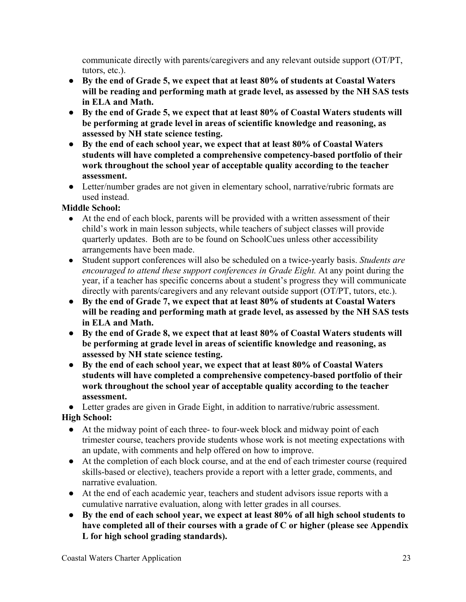communicate directly with parents/caregivers and any relevant outside support (OT/PT, tutors, etc.).

- **By the end of Grade 5, we expect that at least 80% of students at Coastal Waters will be reading and performing math at grade level, as assessed by the NH SAS tests in ELA and Math.**
- **By the end of Grade 5, we expect that at least 80% of Coastal Waters students will be performing at grade level in areas of scientific knowledge and reasoning, as assessed by NH state science testing.**
- **By the end of each school year, we expect that at least 80% of Coastal Waters students will have completed a comprehensive competency-based portfolio of their work throughout the school year of acceptable quality according to the teacher assessment.**
- Letter/number grades are not given in elementary school, narrative/rubric formats are used instead.

# **Middle School:**

- At the end of each block, parents will be provided with a written assessment of their child's work in main lesson subjects, while teachers of subject classes will provide quarterly updates. Both are to be found on SchoolCues unless other accessibility arrangements have been made.
- Student support conferences will also be scheduled on a twice-yearly basis. *Students are encouraged to attend these support conferences in Grade Eight.* At any point during the year, if a teacher has specific concerns about a student's progress they will communicate directly with parents/caregivers and any relevant outside support (OT/PT, tutors, etc.).
- **By the end of Grade 7, we expect that at least 80% of students at Coastal Waters will be reading and performing math at grade level, as assessed by the NH SAS tests in ELA and Math.**
- **By the end of Grade 8, we expect that at least 80% of Coastal Waters students will be performing at grade level in areas of scientific knowledge and reasoning, as assessed by NH state science testing.**
- **By the end of each school year, we expect that at least 80% of Coastal Waters students will have completed a comprehensive competency-based portfolio of their work throughout the school year of acceptable quality according to the teacher assessment.**

● Letter grades are given in Grade Eight, in addition to narrative/rubric assessment. **High School:** 

- At the midway point of each three- to four-week block and midway point of each trimester course, teachers provide students whose work is not meeting expectations with an update, with comments and help offered on how to improve.
- At the completion of each block course, and at the end of each trimester course (required skills-based or elective), teachers provide a report with a letter grade, comments, and narrative evaluation.
- At the end of each academic year, teachers and student advisors issue reports with a cumulative narrative evaluation, along with letter grades in all courses.
- **● By the end of each school year, we expect at least 80% of all high school students to have completed all of their courses with a grade of C or higher (please see Appendix L for high school grading standards).**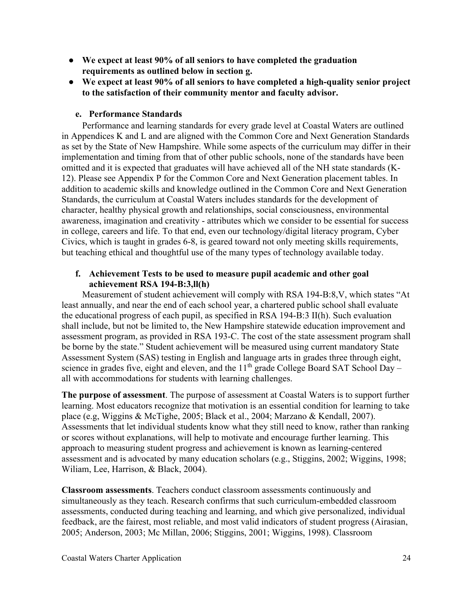- **● We expect at least 90% of all seniors to have completed the graduation requirements as outlined below in section g.**
- **● We expect at least 90% of all seniors to have completed a high-quality senior project to the satisfaction of their community mentor and faculty advisor.**

## **e. Performance Standards**

Performance and learning standards for every grade level at Coastal Waters are outlined in Appendices K and L and are aligned with the Common Core and Next Generation Standards as set by the State of New Hampshire. While some aspects of the curriculum may differ in their implementation and timing from that of other public schools, none of the standards have been omitted and it is expected that graduates will have achieved all of the NH state standards (K-12). Please see Appendix P for the Common Core and Next Generation placement tables. In addition to academic skills and knowledge outlined in the Common Core and Next Generation Standards, the curriculum at Coastal Waters includes standards for the development of character, healthy physical growth and relationships, social consciousness, environmental awareness, imagination and creativity - attributes which we consider to be essential for success in college, careers and life. To that end, even our technology/digital literacy program, Cyber Civics, which is taught in grades 6-8, is geared toward not only meeting skills requirements, but teaching ethical and thoughtful use of the many types of technology available today.

## **f. Achievement Tests to be used to measure pupil academic and other goal achievement RSA 194-B:3,ll(h)**

Measurement of student achievement will comply with RSA 194-B:8,V, which states "At least annually, and near the end of each school year, a chartered public school shall evaluate the educational progress of each pupil, as specified in RSA 194-B:3 II(h). Such evaluation shall include, but not be limited to, the New Hampshire statewide education improvement and assessment program, as provided in RSA 193-C. The cost of the state assessment program shall be borne by the state." Student achievement will be measured using current mandatory State Assessment System (SAS) testing in English and language arts in grades three through eight, science in grades five, eight and eleven, and the  $11<sup>th</sup>$  grade College Board SAT School Day – all with accommodations for students with learning challenges.

**The purpose of assessment**. The purpose of assessment at Coastal Waters is to support further learning. Most educators recognize that motivation is an essential condition for learning to take place (e.g, Wiggins & McTighe, 2005; Black et al., 2004; Marzano & Kendall, 2007). Assessments that let individual students know what they still need to know, rather than ranking or scores without explanations, will help to motivate and encourage further learning. This approach to measuring student progress and achievement is known as learning-centered assessment and is advocated by many education scholars (e.g., Stiggins, 2002; Wiggins, 1998; Wiliam, Lee, Harrison, & Black, 2004).

**Classroom assessments**. Teachers conduct classroom assessments continuously and simultaneously as they teach. Research confirms that such curriculum-embedded classroom assessments, conducted during teaching and learning, and which give personalized, individual feedback, are the fairest, most reliable, and most valid indicators of student progress (Airasian, 2005; Anderson, 2003; Mc Millan, 2006; Stiggins, 2001; Wiggins, 1998). Classroom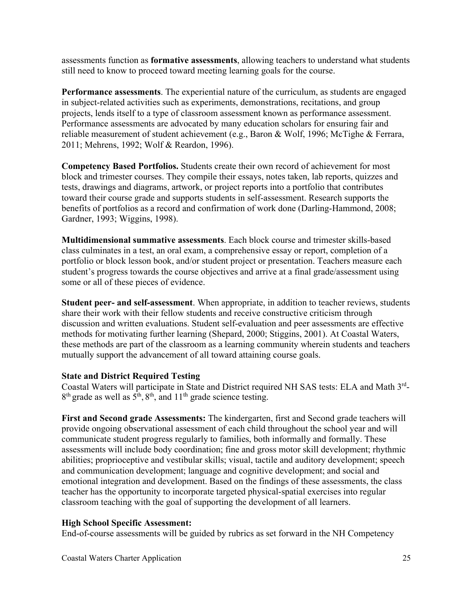assessments function as **formative assessments**, allowing teachers to understand what students still need to know to proceed toward meeting learning goals for the course.

**Performance assessments**. The experiential nature of the curriculum, as students are engaged in subject-related activities such as experiments, demonstrations, recitations, and group projects, lends itself to a type of classroom assessment known as performance assessment. Performance assessments are advocated by many education scholars for ensuring fair and reliable measurement of student achievement (e.g., Baron & Wolf, 1996; McTighe & Ferrara, 2011; Mehrens, 1992; Wolf & Reardon, 1996).

**Competency Based Portfolios.** Students create their own record of achievement for most block and trimester courses. They compile their essays, notes taken, lab reports, quizzes and tests, drawings and diagrams, artwork, or project reports into a portfolio that contributes toward their course grade and supports students in self-assessment. Research supports the benefits of portfolios as a record and confirmation of work done (Darling-Hammond, 2008; Gardner, 1993; Wiggins, 1998).

**Multidimensional summative assessments**. Each block course and trimester skills-based class culminates in a test, an oral exam, a comprehensive essay or report, completion of a portfolio or block lesson book, and/or student project or presentation. Teachers measure each student's progress towards the course objectives and arrive at a final grade/assessment using some or all of these pieces of evidence.

**Student peer- and self-assessment**. When appropriate, in addition to teacher reviews, students share their work with their fellow students and receive constructive criticism through discussion and written evaluations. Student self-evaluation and peer assessments are effective methods for motivating further learning (Shepard, 2000; Stiggins, 2001). At Coastal Waters, these methods are part of the classroom as a learning community wherein students and teachers mutually support the advancement of all toward attaining course goals.

#### **State and District Required Testing**

Coastal Waters will participate in State and District required NH SAS tests: ELA and Math 3rd- $8<sup>th</sup>$  grade as well as  $5<sup>th</sup>$ ,  $8<sup>th</sup>$ , and  $11<sup>th</sup>$  grade science testing.

**First and Second grade Assessments:** The kindergarten, first and Second grade teachers will provide ongoing observational assessment of each child throughout the school year and will communicate student progress regularly to families, both informally and formally. These assessments will include body coordination; fine and gross motor skill development; rhythmic abilities; proprioceptive and vestibular skills; visual, tactile and auditory development; speech and communication development; language and cognitive development; and social and emotional integration and development. Based on the findings of these assessments, the class teacher has the opportunity to incorporate targeted physical-spatial exercises into regular classroom teaching with the goal of supporting the development of all learners.

#### **High School Specific Assessment:**

End-of-course assessments will be guided by rubrics as set forward in the NH Competency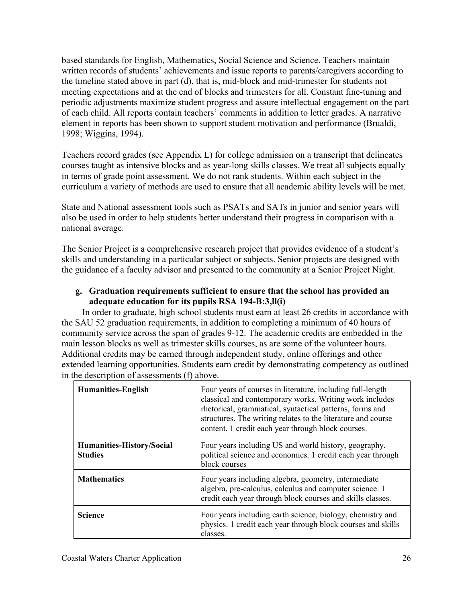based standards for English, Mathematics, Social Science and Science. Teachers maintain written records of students' achievements and issue reports to parents/caregivers according to the timeline stated above in part (d), that is, mid-block and mid-trimester for students not meeting expectations and at the end of blocks and trimesters for all. Constant fine-tuning and periodic adjustments maximize student progress and assure intellectual engagement on the part of each child. All reports contain teachers' comments in addition to letter grades. A narrative element in reports has been shown to support student motivation and performance (Brualdi, 1998; Wiggins, 1994).

Teachers record grades (see Appendix L) for college admission on a transcript that delineates courses taught as intensive blocks and as year-long skills classes. We treat all subjects equally in terms of grade point assessment. We do not rank students. Within each subject in the curriculum a variety of methods are used to ensure that all academic ability levels will be met.

State and National assessment tools such as PSATs and SATs in junior and senior years will also be used in order to help students better understand their progress in comparison with a national average.

The Senior Project is a comprehensive research project that provides evidence of a student's skills and understanding in a particular subject or subjects. Senior projects are designed with the guidance of a faculty advisor and presented to the community at a Senior Project Night.

## **g. Graduation requirements sufficient to ensure that the school has provided an adequate education for its pupils RSA 194-B:3,ll(i)**

In order to graduate, high school students must earn at least 26 credits in accordance with the SAU 52 graduation requirements, in addition to completing a minimum of 40 hours of community service across the span of grades 9-12. The academic credits are embedded in the main lesson blocks as well as trimester skills courses, as are some of the volunteer hours. Additional credits may be earned through independent study, online offerings and other extended learning opportunities. Students earn credit by demonstrating competency as outlined in the description of assessments (f) above.

| <b>Humanities-English</b>                          | Four years of courses in literature, including full-length<br>classical and contemporary works. Writing work includes<br>rhetorical, grammatical, syntactical patterns, forms and<br>structures. The writing relates to the literature and course<br>content. 1 credit each year through block courses. |
|----------------------------------------------------|---------------------------------------------------------------------------------------------------------------------------------------------------------------------------------------------------------------------------------------------------------------------------------------------------------|
| <b>Humanities-History/Social</b><br><b>Studies</b> | Four years including US and world history, geography,<br>political science and economics. 1 credit each year through<br>block courses                                                                                                                                                                   |
| <b>Mathematics</b>                                 | Four years including algebra, geometry, intermediate<br>algebra, pre-calculus, calculus and computer science. 1<br>credit each year through block courses and skills classes.                                                                                                                           |
| <b>Science</b>                                     | Four years including earth science, biology, chemistry and<br>physics. 1 credit each year through block courses and skills<br>classes.                                                                                                                                                                  |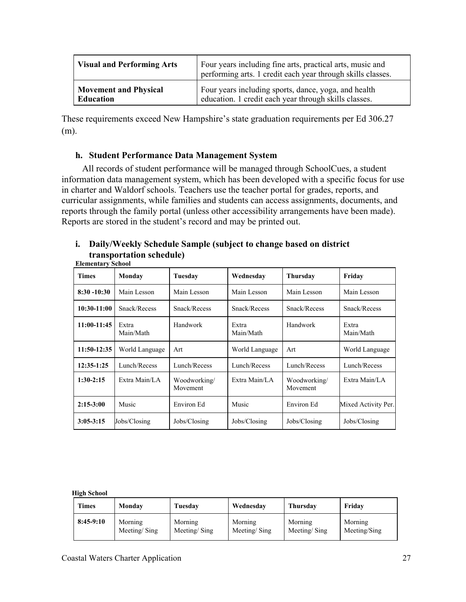| <b>Visual and Performing Arts</b> | Four years including fine arts, practical arts, music and<br>performing arts. 1 credit each year through skills classes. |
|-----------------------------------|--------------------------------------------------------------------------------------------------------------------------|
| <b>Movement and Physical</b>      | Four years including sports, dance, yoga, and health                                                                     |
| <b>Education</b>                  | education. 1 credit each year through skills classes.                                                                    |

These requirements exceed New Hampshire's state graduation requirements per Ed 306.27 (m).

## **h. Student Performance Data Management System**

All records of student performance will be managed through SchoolCues, a student information data management system, which has been developed with a specific focus for use in charter and Waldorf schools. Teachers use the teacher portal for grades, reports, and curricular assignments, while families and students can access assignments, documents, and reports through the family portal (unless other accessibility arrangements have been made). Reports are stored in the student's record and may be printed out.

#### **i. Daily/Weekly Schedule Sample (subject to change based on district transportation schedule) Elementary School**

| <b>Times</b>   | Monday             | Tuesday                  | Wednesday          | <b>Thursday</b>          | Friday              |
|----------------|--------------------|--------------------------|--------------------|--------------------------|---------------------|
| $8:30 - 10:30$ | Main Lesson        | Main Lesson              | Main Lesson        | Main Lesson              | Main Lesson         |
| 10:30-11:00    | Snack/Recess       | Snack/Recess             | Snack/Recess       | Snack/Recess             | Snack/Recess        |
| 11:00-11:45    | Extra<br>Main/Math | Handwork                 | Extra<br>Main/Math | Handwork                 | Extra<br>Main/Math  |
| $11:50-12:35$  | World Language     | Art                      | World Language     | Art                      | World Language      |
| $12:35-1:25$   | Lunch/Recess       | Lunch/Recess             | Lunch/Recess       | Lunch/Recess             | Lunch/Recess        |
| $1:30-2:15$    | Extra Main/LA      | Woodworking/<br>Movement | Extra Main/LA      | Woodworking/<br>Movement | Extra Main/LA       |
| $2:15-3:00$    | Music              | Environ Ed               | <b>Music</b>       | Environ Ed               | Mixed Activity Per. |
| $3:05 - 3:15$  | Jobs/Closing       | Jobs/Closing             | Jobs/Closing       | Jobs/Closing             | Jobs/Closing        |

#### **High School**

| <b>Times</b> | Monday       | Tuesdav      | Wednesday    | Thursday     | Fridav       |
|--------------|--------------|--------------|--------------|--------------|--------------|
| $8:45-9:10$  | Morning      | Morning      | Morning      | Morning      | Morning      |
|              | Meeting/Sing | Meeting/Sing | Meeting/Sing | Meeting/Sing | Meeting/Sing |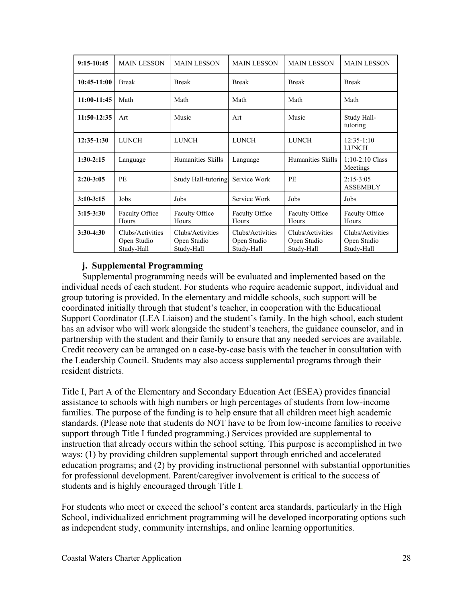| $9:15-10:45$ | <b>MAIN LESSON</b>                            | <b>MAIN LESSON</b>                            | <b>MAIN LESSON</b>                            | <b>MAIN LESSON</b>                            | <b>MAIN LESSON</b>                            |
|--------------|-----------------------------------------------|-----------------------------------------------|-----------------------------------------------|-----------------------------------------------|-----------------------------------------------|
| 10:45-11:00  | <b>Break</b>                                  | <b>Break</b>                                  | <b>Break</b>                                  | <b>Break</b>                                  | <b>Break</b>                                  |
| 11:00-11:45  | Math                                          | Math                                          | Math                                          | Math                                          | Math                                          |
| 11:50-12:35  | Art                                           | Music                                         | Art                                           | Music                                         | Study Hall-<br>tutoring                       |
| $12:35-1:30$ | <b>LUNCH</b>                                  | LUNCH                                         | <b>LUNCH</b>                                  | <b>LUNCH</b>                                  | $12:35-1:10$<br><b>LUNCH</b>                  |
| $1:30-2:15$  | Language                                      | Humanities Skills                             | Language                                      | Humanities Skills                             | $1:10-2:10$ Class<br>Meetings                 |
| $2:20-3:05$  | PE                                            | Study Hall-tutoring                           | Service Work                                  | <b>PE</b>                                     | $2:15-3:05$<br><b>ASSEMBLY</b>                |
| $3:10-3:15$  | Jobs                                          | Jobs                                          | Service Work                                  | Jobs                                          | Jobs                                          |
| $3:15-3:30$  | Faculty Office<br>Hours                       | <b>Faculty Office</b><br>Hours                | <b>Faculty Office</b><br>Hours                | <b>Faculty Office</b><br>Hours                | <b>Faculty Office</b><br>Hours                |
| $3:30-4:30$  | Clubs/Activities<br>Open Studio<br>Study-Hall | Clubs/Activities<br>Open Studio<br>Study-Hall | Clubs/Activities<br>Open Studio<br>Study-Hall | Clubs/Activities<br>Open Studio<br>Study-Hall | Clubs/Activities<br>Open Studio<br>Study-Hall |

## **j. Supplemental Programming**

Supplemental programming needs will be evaluated and implemented based on the individual needs of each student. For students who require academic support, individual and group tutoring is provided. In the elementary and middle schools, such support will be coordinated initially through that student's teacher, in cooperation with the Educational Support Coordinator (LEA Liaison) and the student's family. In the high school, each student has an advisor who will work alongside the student's teachers, the guidance counselor, and in partnership with the student and their family to ensure that any needed services are available. Credit recovery can be arranged on a case-by-case basis with the teacher in consultation with the Leadership Council. Students may also access supplemental programs through their resident districts.

Title I, Part A of the Elementary and Secondary Education Act (ESEA) provides financial assistance to schools with high numbers or high percentages of students from low-income families. The purpose of the funding is to help ensure that all children meet high academic standards. (Please note that students do NOT have to be from low-income families to receive support through Title I funded programming.) Services provided are supplemental to instruction that already occurs within the school setting. This purpose is accomplished in two ways: (1) by providing children supplemental support through enriched and accelerated education programs; and (2) by providing instructional personnel with substantial opportunities for professional development. Parent/caregiver involvement is critical to the success of students and is highly encouraged through Title I.

For students who meet or exceed the school's content area standards, particularly in the High School, individualized enrichment programming will be developed incorporating options such as independent study, community internships, and online learning opportunities.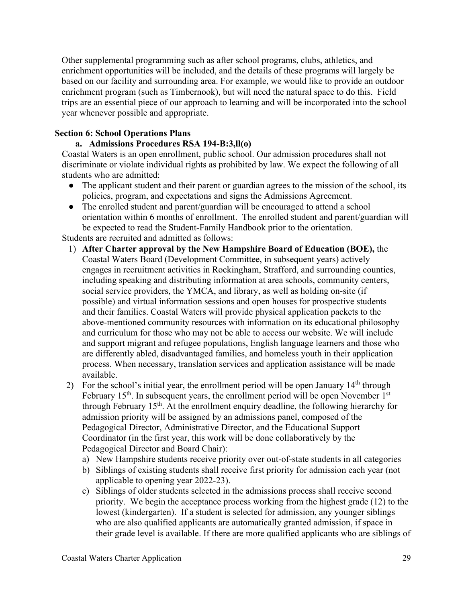Other supplemental programming such as after school programs, clubs, athletics, and enrichment opportunities will be included, and the details of these programs will largely be based on our facility and surrounding area. For example, we would like to provide an outdoor enrichment program (such as Timbernook), but will need the natural space to do this. Field trips are an essential piece of our approach to learning and will be incorporated into the school year whenever possible and appropriate.

## **Section 6: School Operations Plans**

## **a. Admissions Procedures RSA 194-B:3,ll(o)**

Coastal Waters is an open enrollment, public school. Our admission procedures shall not discriminate or violate individual rights as prohibited by law. We expect the following of all students who are admitted:

- The applicant student and their parent or guardian agrees to the mission of the school, its policies, program, and expectations and signs the Admissions Agreement.
- The enrolled student and parent/guardian will be encouraged to attend a school orientation within 6 months of enrollment. The enrolled student and parent/guardian will be expected to read the Student-Family Handbook prior to the orientation.

Students are recruited and admitted as follows:

- 1) **After Charter approval by the New Hampshire Board of Education (BOE),** the Coastal Waters Board (Development Committee, in subsequent years) actively engages in recruitment activities in Rockingham, Strafford, and surrounding counties, including speaking and distributing information at area schools, community centers, social service providers, the YMCA, and library, as well as holding on-site (if possible) and virtual information sessions and open houses for prospective students and their families. Coastal Waters will provide physical application packets to the above-mentioned community resources with information on its educational philosophy and curriculum for those who may not be able to access our website. We will include and support migrant and refugee populations, English language learners and those who are differently abled, disadvantaged families, and homeless youth in their application process. When necessary, translation services and application assistance will be made available.
- 2) For the school's initial year, the enrollment period will be open January  $14<sup>th</sup>$  through February  $15<sup>th</sup>$ . In subsequent years, the enrollment period will be open November  $1<sup>st</sup>$ through February  $15<sup>th</sup>$ . At the enrollment enquiry deadline, the following hierarchy for admission priority will be assigned by an admissions panel, composed of the Pedagogical Director, Administrative Director, and the Educational Support Coordinator (in the first year, this work will be done collaboratively by the Pedagogical Director and Board Chair):
	- a) New Hampshire students receive priority over out-of-state students in all categories
	- b) Siblings of existing students shall receive first priority for admission each year (not applicable to opening year 2022-23).
	- c) Siblings of older students selected in the admissions process shall receive second priority. We begin the acceptance process working from the highest grade (12) to the lowest (kindergarten). If a student is selected for admission, any younger siblings who are also qualified applicants are automatically granted admission, if space in their grade level is available. If there are more qualified applicants who are siblings of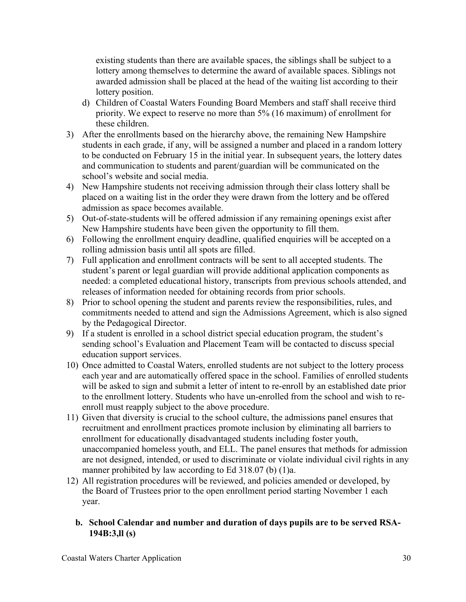existing students than there are available spaces, the siblings shall be subject to a lottery among themselves to determine the award of available spaces. Siblings not awarded admission shall be placed at the head of the waiting list according to their lottery position.

- d) Children of Coastal Waters Founding Board Members and staff shall receive third priority. We expect to reserve no more than 5% (16 maximum) of enrollment for these children.
- 3) After the enrollments based on the hierarchy above, the remaining New Hampshire students in each grade, if any, will be assigned a number and placed in a random lottery to be conducted on February 15 in the initial year. In subsequent years, the lottery dates and communication to students and parent/guardian will be communicated on the school's website and social media.
- 4) New Hampshire students not receiving admission through their class lottery shall be placed on a waiting list in the order they were drawn from the lottery and be offered admission as space becomes available.
- 5) Out-of-state-students will be offered admission if any remaining openings exist after New Hampshire students have been given the opportunity to fill them.
- 6) Following the enrollment enquiry deadline, qualified enquiries will be accepted on a rolling admission basis until all spots are filled.
- 7) Full application and enrollment contracts will be sent to all accepted students. The student's parent or legal guardian will provide additional application components as needed: a completed educational history, transcripts from previous schools attended, and releases of information needed for obtaining records from prior schools.
- 8) Prior to school opening the student and parents review the responsibilities, rules, and commitments needed to attend and sign the Admissions Agreement, which is also signed by the Pedagogical Director.
- 9) If a student is enrolled in a school district special education program, the student's sending school's Evaluation and Placement Team will be contacted to discuss special education support services.
- 10) Once admitted to Coastal Waters, enrolled students are not subject to the lottery process each year and are automatically offered space in the school. Families of enrolled students will be asked to sign and submit a letter of intent to re-enroll by an established date prior to the enrollment lottery. Students who have un-enrolled from the school and wish to reenroll must reapply subject to the above procedure.
- 11) Given that diversity is crucial to the school culture, the admissions panel ensures that recruitment and enrollment practices promote inclusion by eliminating all barriers to enrollment for educationally disadvantaged students including foster youth, unaccompanied homeless youth, and ELL. The panel ensures that methods for admission are not designed, intended, or used to discriminate or violate individual civil rights in any manner prohibited by law according to Ed 318.07 (b) (1)a.
- 12) All registration procedures will be reviewed, and policies amended or developed, by the Board of Trustees prior to the open enrollment period starting November 1 each year.

## **b. School Calendar and number and duration of days pupils are to be served RSA-194B:3,ll (s)**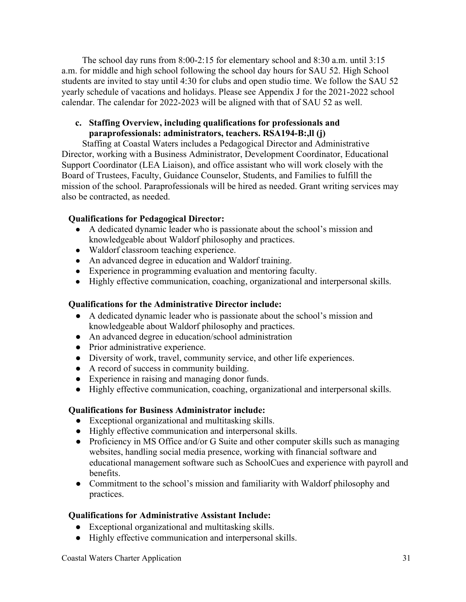The school day runs from 8:00-2:15 for elementary school and 8:30 a.m. until 3:15 a.m. for middle and high school following the school day hours for SAU 52. High School students are invited to stay until 4:30 for clubs and open studio time. We follow the SAU 52 yearly schedule of vacations and holidays. Please see Appendix J for the 2021-2022 school calendar. The calendar for 2022-2023 will be aligned with that of SAU 52 as well.

## **c. Staffing Overview, including qualifications for professionals and paraprofessionals: administrators, teachers. RSA194-B:,ll (j)**

Staffing at Coastal Waters includes a Pedagogical Director and Administrative Director, working with a Business Administrator, Development Coordinator, Educational Support Coordinator (LEA Liaison), and office assistant who will work closely with the Board of Trustees, Faculty, Guidance Counselor, Students, and Families to fulfill the mission of the school. Paraprofessionals will be hired as needed. Grant writing services may also be contracted, as needed.

## **Qualifications for Pedagogical Director:**

- A dedicated dynamic leader who is passionate about the school's mission and knowledgeable about Waldorf philosophy and practices.
- Waldorf classroom teaching experience.
- An advanced degree in education and Waldorf training.
- Experience in programming evaluation and mentoring faculty.
- Highly effective communication, coaching, organizational and interpersonal skills.

## **Qualifications for the Administrative Director include:**

- A dedicated dynamic leader who is passionate about the school's mission and knowledgeable about Waldorf philosophy and practices.
- An advanced degree in education/school administration
- Prior administrative experience.
- Diversity of work, travel, community service, and other life experiences.
- A record of success in community building.
- Experience in raising and managing donor funds.
- Highly effective communication, coaching, organizational and interpersonal skills.

# **Qualifications for Business Administrator include:**

- Exceptional organizational and multitasking skills.
- Highly effective communication and interpersonal skills.
- Proficiency in MS Office and/or G Suite and other computer skills such as managing websites, handling social media presence, working with financial software and educational management software such as SchoolCues and experience with payroll and benefits.
- Commitment to the school's mission and familiarity with Waldorf philosophy and practices.

## **Qualifications for Administrative Assistant Include:**

- Exceptional organizational and multitasking skills.
- Highly effective communication and interpersonal skills.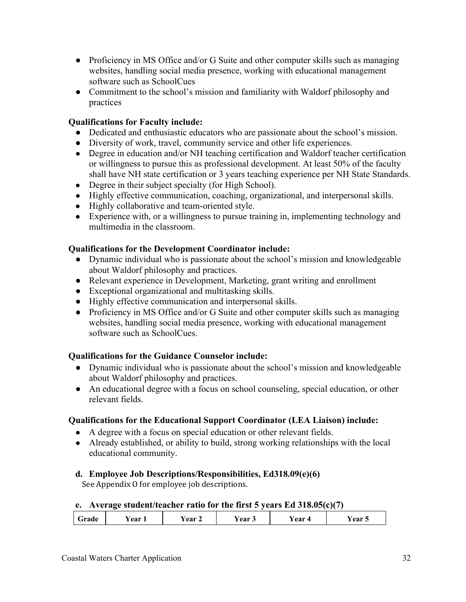- Proficiency in MS Office and/or G Suite and other computer skills such as managing websites, handling social media presence, working with educational management software such as SchoolCues
- Commitment to the school's mission and familiarity with Waldorf philosophy and practices

## **Qualifications for Faculty include:**

- Dedicated and enthusiastic educators who are passionate about the school's mission.
- Diversity of work, travel, community service and other life experiences.
- Degree in education and/or NH teaching certification and Waldorf teacher certification or willingness to pursue this as professional development. At least 50% of the faculty shall have NH state certification or 3 years teaching experience per NH State Standards.
- Degree in their subject specialty (for High School).
- Highly effective communication, coaching, organizational, and interpersonal skills.
- Highly collaborative and team-oriented style.
- Experience with, or a willingness to pursue training in, implementing technology and multimedia in the classroom.

## **Qualifications for the Development Coordinator include:**

- Dynamic individual who is passionate about the school's mission and knowledgeable about Waldorf philosophy and practices.
- Relevant experience in Development, Marketing, grant writing and enrollment
- Exceptional organizational and multitasking skills.
- Highly effective communication and interpersonal skills.
- Proficiency in MS Office and/or G Suite and other computer skills such as managing websites, handling social media presence, working with educational management software such as SchoolCues.

# **Qualifications for the Guidance Counselor include:**

- Dynamic individual who is passionate about the school's mission and knowledgeable about Waldorf philosophy and practices.
- An educational degree with a focus on school counseling, special education, or other relevant fields.

# **Qualifications for the Educational Support Coordinator (LEA Liaison) include:**

- A degree with a focus on special education or other relevant fields.
- Already established, or ability to build, strong working relationships with the local educational community.
- **d. Employee Job Descriptions/Responsibilities, Ed318.09(e)(6)**  See Appendix O for employee job descriptions.

## **e. Average student/teacher ratio for the first 5 years Ed 318.05(c)(7)**

| ′ear<br>Grade | ear 2 | r ear | r ear | ear c |
|---------------|-------|-------|-------|-------|
|---------------|-------|-------|-------|-------|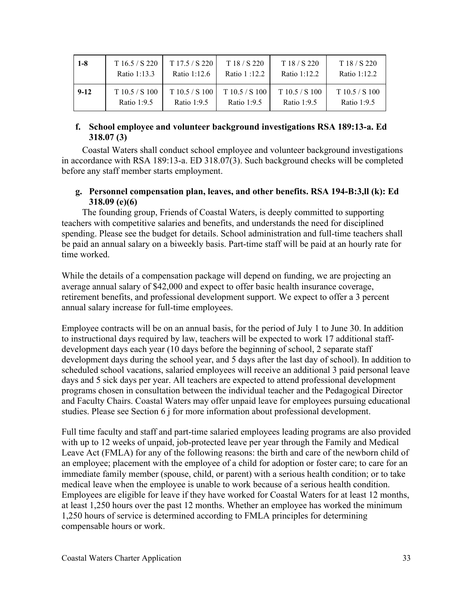| $1 - 8$ | T16.5 / S220 | T17.5 / S220 | T18/S220     | T18/S220     | T18/S220     |
|---------|--------------|--------------|--------------|--------------|--------------|
|         | Ratio 1:13.3 | Ratio 1:12.6 | Ratio 1:12.2 | Ratio 1:12.2 | Ratio 1:12.2 |
| $9-12$  | T10.5 / S100 | T10.5 / S100 | T10.5 / S100 | T10.5 / S100 | T10.5 / S100 |
|         | Ratio 1:9.5  | Ratio 1:9.5  | Ratio 1:9.5  | Ratio 1:9.5  | Ratio 1:9.5  |

## **f. School employee and volunteer background investigations RSA 189:13-a. Ed 318.07 (3)**

Coastal Waters shall conduct school employee and volunteer background investigations in accordance with RSA 189:13-a. ED 318.07(3). Such background checks will be completed before any staff member starts employment.

## **g. Personnel compensation plan, leaves, and other benefits. RSA 194-B:3,ll (k): Ed 318.09 (e)(6)**

The founding group, Friends of Coastal Waters, is deeply committed to supporting teachers with competitive salaries and benefits, and understands the need for disciplined spending. Please see the budget for details. School administration and full-time teachers shall be paid an annual salary on a biweekly basis. Part-time staff will be paid at an hourly rate for time worked.

While the details of a compensation package will depend on funding, we are projecting an average annual salary of \$42,000 and expect to offer basic health insurance coverage, retirement benefits, and professional development support. We expect to offer a 3 percent annual salary increase for full-time employees.

Employee contracts will be on an annual basis, for the period of July 1 to June 30. In addition to instructional days required by law, teachers will be expected to work 17 additional staffdevelopment days each year (10 days before the beginning of school, 2 separate staff development days during the school year, and 5 days after the last day of school). In addition to scheduled school vacations, salaried employees will receive an additional 3 paid personal leave days and 5 sick days per year. All teachers are expected to attend professional development programs chosen in consultation between the individual teacher and the Pedagogical Director and Faculty Chairs. Coastal Waters may offer unpaid leave for employees pursuing educational studies. Please see Section 6 j for more information about professional development.

Full time faculty and staff and part-time salaried employees leading programs are also provided with up to 12 weeks of unpaid, job-protected leave per year through the Family and Medical Leave Act (FMLA) for any of the following reasons: the birth and care of the newborn child of an employee; placement with the employee of a child for adoption or foster care; to care for an immediate family member (spouse, child, or parent) with a serious health condition; or to take medical leave when the employee is unable to work because of a serious health condition. Employees are eligible for leave if they have worked for Coastal Waters for at least 12 months, at least 1,250 hours over the past 12 months. Whether an employee has worked the minimum 1,250 hours of service is determined according to FMLA principles for determining compensable hours or work.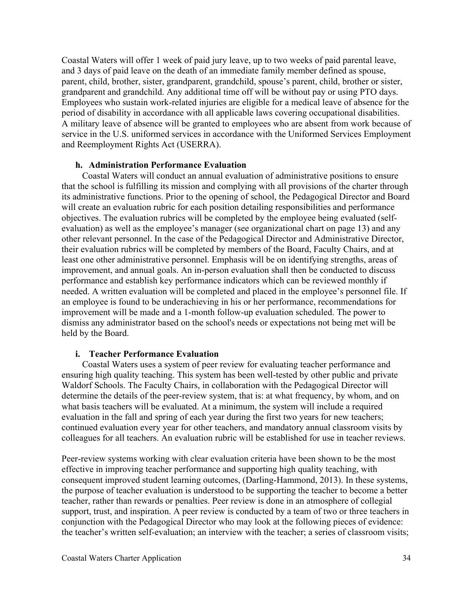Coastal Waters will offer 1 week of paid jury leave, up to two weeks of paid parental leave, and 3 days of paid leave on the death of an immediate family member defined as spouse, parent, child, brother, sister, grandparent, grandchild, spouse's parent, child, brother or sister, grandparent and grandchild. Any additional time off will be without pay or using PTO days. Employees who sustain work-related injuries are eligible for a medical leave of absence for the period of disability in accordance with all applicable laws covering occupational disabilities. A military leave of absence will be granted to employees who are absent from work because of service in the U.S. uniformed services in accordance with the Uniformed Services Employment and Reemployment Rights Act (USERRA).

#### **h. Administration Performance Evaluation**

Coastal Waters will conduct an annual evaluation of administrative positions to ensure that the school is fulfilling its mission and complying with all provisions of the charter through its administrative functions. Prior to the opening of school, the Pedagogical Director and Board will create an evaluation rubric for each position detailing responsibilities and performance objectives. The evaluation rubrics will be completed by the employee being evaluated (selfevaluation) as well as the employee's manager (see organizational chart on page 13) and any other relevant personnel. In the case of the Pedagogical Director and Administrative Director, their evaluation rubrics will be completed by members of the Board, Faculty Chairs, and at least one other administrative personnel. Emphasis will be on identifying strengths, areas of improvement, and annual goals. An in-person evaluation shall then be conducted to discuss performance and establish key performance indicators which can be reviewed monthly if needed. A written evaluation will be completed and placed in the employee's personnel file. If an employee is found to be underachieving in his or her performance, recommendations for improvement will be made and a 1-month follow-up evaluation scheduled. The power to dismiss any administrator based on the school's needs or expectations not being met will be held by the Board.

#### **i. Teacher Performance Evaluation**

Coastal Waters uses a system of peer review for evaluating teacher performance and ensuring high quality teaching. This system has been well-tested by other public and private Waldorf Schools. The Faculty Chairs, in collaboration with the Pedagogical Director will determine the details of the peer-review system, that is: at what frequency, by whom, and on what basis teachers will be evaluated. At a minimum, the system will include a required evaluation in the fall and spring of each year during the first two years for new teachers; continued evaluation every year for other teachers, and mandatory annual classroom visits by colleagues for all teachers. An evaluation rubric will be established for use in teacher reviews.

Peer-review systems working with clear evaluation criteria have been shown to be the most effective in improving teacher performance and supporting high quality teaching, with consequent improved student learning outcomes, (Darling-Hammond, 2013). In these systems, the purpose of teacher evaluation is understood to be supporting the teacher to become a better teacher, rather than rewards or penalties. Peer review is done in an atmosphere of collegial support, trust, and inspiration. A peer review is conducted by a team of two or three teachers in conjunction with the Pedagogical Director who may look at the following pieces of evidence: the teacher's written self-evaluation; an interview with the teacher; a series of classroom visits;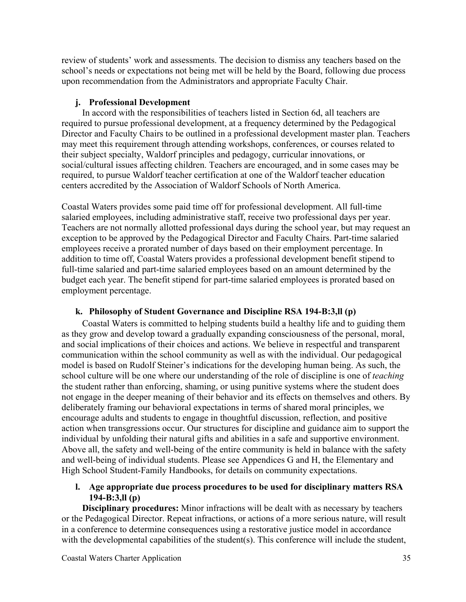review of students' work and assessments. The decision to dismiss any teachers based on the school's needs or expectations not being met will be held by the Board, following due process upon recommendation from the Administrators and appropriate Faculty Chair.

## **j. Professional Development**

In accord with the responsibilities of teachers listed in Section 6d, all teachers are required to pursue professional development, at a frequency determined by the Pedagogical Director and Faculty Chairs to be outlined in a professional development master plan. Teachers may meet this requirement through attending workshops, conferences, or courses related to their subject specialty, Waldorf principles and pedagogy, curricular innovations, or social/cultural issues affecting children. Teachers are encouraged, and in some cases may be required, to pursue Waldorf teacher certification at one of the Waldorf teacher education centers accredited by the Association of Waldorf Schools of North America.

Coastal Waters provides some paid time off for professional development. All full-time salaried employees, including administrative staff, receive two professional days per year. Teachers are not normally allotted professional days during the school year, but may request an exception to be approved by the Pedagogical Director and Faculty Chairs. Part-time salaried employees receive a prorated number of days based on their employment percentage. In addition to time off, Coastal Waters provides a professional development benefit stipend to full-time salaried and part-time salaried employees based on an amount determined by the budget each year. The benefit stipend for part-time salaried employees is prorated based on employment percentage.

## **k. Philosophy of Student Governance and Discipline RSA 194-B:3,ll (p)**

Coastal Waters is committed to helping students build a healthy life and to guiding them as they grow and develop toward a gradually expanding consciousness of the personal, moral, and social implications of their choices and actions. We believe in respectful and transparent communication within the school community as well as with the individual. Our pedagogical model is based on Rudolf Steiner's indications for the developing human being. As such, the school culture will be one where our understanding of the role of discipline is one of *teaching*  the student rather than enforcing, shaming, or using punitive systems where the student does not engage in the deeper meaning of their behavior and its effects on themselves and others. By deliberately framing our behavioral expectations in terms of shared moral principles, we encourage adults and students to engage in thoughtful discussion, reflection, and positive action when transgressions occur. Our structures for discipline and guidance aim to support the individual by unfolding their natural gifts and abilities in a safe and supportive environment. Above all, the safety and well-being of the entire community is held in balance with the safety and well-being of individual students. Please see Appendices G and H, the Elementary and High School Student-Family Handbooks, for details on community expectations.

## **l. Age appropriate due process procedures to be used for disciplinary matters RSA 194-B:3,ll (p)**

**Disciplinary procedures:** Minor infractions will be dealt with as necessary by teachers or the Pedagogical Director. Repeat infractions, or actions of a more serious nature, will result in a conference to determine consequences using a restorative justice model in accordance with the developmental capabilities of the student $(s)$ . This conference will include the student,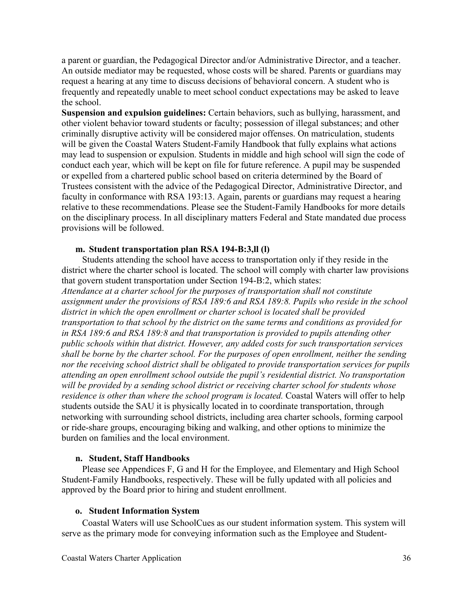a parent or guardian, the Pedagogical Director and/or Administrative Director, and a teacher. An outside mediator may be requested, whose costs will be shared. Parents or guardians may request a hearing at any time to discuss decisions of behavioral concern. A student who is frequently and repeatedly unable to meet school conduct expectations may be asked to leave the school.

**Suspension and expulsion guidelines:** Certain behaviors, such as bullying, harassment, and other violent behavior toward students or faculty; possession of illegal substances; and other criminally disruptive activity will be considered major offenses. On matriculation, students will be given the Coastal Waters Student-Family Handbook that fully explains what actions may lead to suspension or expulsion. Students in middle and high school will sign the code of conduct each year, which will be kept on file for future reference. A pupil may be suspended or expelled from a chartered public school based on criteria determined by the Board of Trustees consistent with the advice of the Pedagogical Director, Administrative Director, and faculty in conformance with RSA 193:13. Again, parents or guardians may request a hearing relative to these recommendations. Please see the Student-Family Handbooks for more details on the disciplinary process. In all disciplinary matters Federal and State mandated due process provisions will be followed.

#### **m. Student transportation plan RSA 194-B:3,ll (l)**

Students attending the school have access to transportation only if they reside in the district where the charter school is located. The school will comply with charter law provisions that govern student transportation under Section 194-B:2, which states: *Attendance at a charter school for the purposes of transportation shall not constitute assignment under the provisions of RSA 189:6 and RSA 189:8. Pupils who reside in the school district in which the open enrollment or charter school is located shall be provided transportation to that school by the district on the same terms and conditions as provided for in RSA 189:6 and RSA 189:8 and that transportation is provided to pupils attending other public schools within that district. However, any added costs for such transportation services shall be borne by the charter school. For the purposes of open enrollment, neither the sending nor the receiving school district shall be obligated to provide transportation services for pupils attending an open enrollment school outside the pupil's residential district. No transportation will be provided by a sending school district or receiving charter school for students whose residence is other than where the school program is located.* Coastal Waters will offer to help students outside the SAU it is physically located in to coordinate transportation, through networking with surrounding school districts, including area charter schools, forming carpool or ride-share groups, encouraging biking and walking, and other options to minimize the burden on families and the local environment.

#### **n. Student, Staff Handbooks**

Please see Appendices F, G and H for the Employee, and Elementary and High School Student-Family Handbooks, respectively. These will be fully updated with all policies and approved by the Board prior to hiring and student enrollment.

#### **o. Student Information System**

Coastal Waters will use SchoolCues as our student information system. This system will serve as the primary mode for conveying information such as the Employee and Student-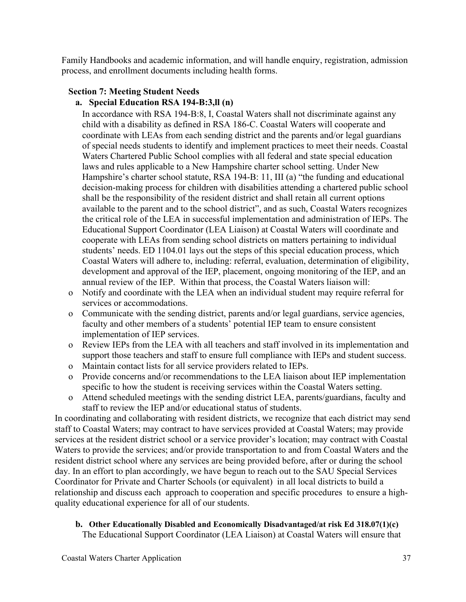Family Handbooks and academic information, and will handle enquiry, registration, admission process, and enrollment documents including health forms.

#### **Section 7: Meeting Student Needs a. Special Education RSA 194-B:3,ll (n)**

In accordance with RSA 194-B:8, I, Coastal Waters shall not discriminate against any child with a disability as defined in RSA 186-C. Coastal Waters will cooperate and coordinate with LEAs from each sending district and the parents and/or legal guardians of special needs students to identify and implement practices to meet their needs. Coastal Waters Chartered Public School complies with all federal and state special education laws and rules applicable to a New Hampshire charter school setting. Under New Hampshire's charter school statute, RSA 194-B: 11, III (a) "the funding and educational decision-making process for children with disabilities attending a chartered public school shall be the responsibility of the resident district and shall retain all current options available to the parent and to the school district", and as such, Coastal Waters recognizes the critical role of the LEA in successful implementation and administration of IEPs. The Educational Support Coordinator (LEA Liaison) at Coastal Waters will coordinate and cooperate with LEAs from sending school districts on matters pertaining to individual students' needs. ED 1104.01 lays out the steps of this special education process, which Coastal Waters will adhere to, including: referral, evaluation, determination of eligibility, development and approval of the IEP, placement, ongoing monitoring of the IEP, and an annual review of the IEP. Within that process, the Coastal Waters liaison will:

- o Notify and coordinate with the LEA when an individual student may require referral for services or accommodations.
- o Communicate with the sending district, parents and/or legal guardians, service agencies, faculty and other members of a students' potential IEP team to ensure consistent implementation of IEP services.
- o Review IEPs from the LEA with all teachers and staff involved in its implementation and support those teachers and staff to ensure full compliance with IEPs and student success.
- o Maintain contact lists for all service providers related to IEPs.
- o Provide concerns and/or recommendations to the LEA liaison about IEP implementation specific to how the student is receiving services within the Coastal Waters setting.
- o Attend scheduled meetings with the sending district LEA, parents/guardians, faculty and staff to review the IEP and/or educational status of students.

In coordinating and collaborating with resident districts, we recognize that each district may send staff to Coastal Waters; may contract to have services provided at Coastal Waters; may provide services at the resident district school or a service provider's location; may contract with Coastal Waters to provide the services; and/or provide transportation to and from Coastal Waters and the resident district school where any services are being provided before, after or during the school day. In an effort to plan accordingly, we have begun to reach out to the SAU Special Services Coordinator for Private and Charter Schools (or equivalent) in all local districts to build a relationship and discuss each approach to cooperation and specific procedures to ensure a highquality educational experience for all of our students.

#### **b. Other Educationally Disabled and Economically Disadvantaged/at risk Ed 318.07(1)(c)** The Educational Support Coordinator (LEA Liaison) at Coastal Waters will ensure that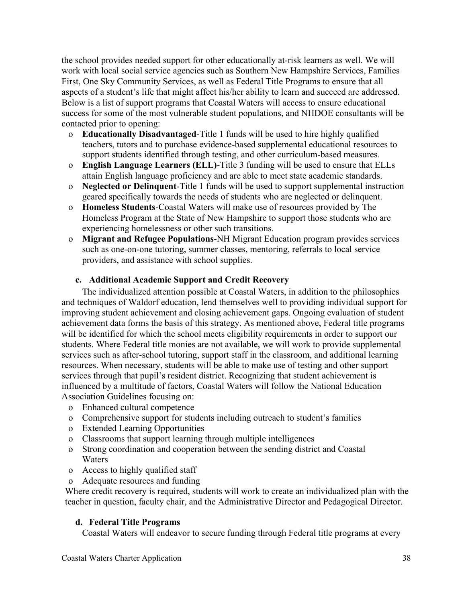the school provides needed support for other educationally at-risk learners as well. We will work with local social service agencies such as Southern New Hampshire Services, Families First, One Sky Community Services, as well as Federal Title Programs to ensure that all aspects of a student's life that might affect his/her ability to learn and succeed are addressed. Below is a list of support programs that Coastal Waters will access to ensure educational success for some of the most vulnerable student populations, and NHDOE consultants will be contacted prior to opening:

- o **Educationally Disadvantaged**-Title 1 funds will be used to hire highly qualified teachers, tutors and to purchase evidence-based supplemental educational resources to support students identified through testing, and other curriculum-based measures.
- o **English Language Learners (ELL)**-Title 3 funding will be used to ensure that ELLs attain English language proficiency and are able to meet state academic standards.
- o **Neglected or Delinquent**-Title 1 funds will be used to support supplemental instruction geared specifically towards the needs of students who are neglected or delinquent.
- o **Homeless Students**-Coastal Waters will make use of resources provided by The Homeless Program at the State of New Hampshire to support those students who are experiencing homelessness or other such transitions.
- o **Migrant and Refugee Populations**-NH Migrant Education program provides services such as one-on-one tutoring, summer classes, mentoring, referrals to local service providers, and assistance with school supplies.

## **c. Additional Academic Support and Credit Recovery**

The individualized attention possible at Coastal Waters, in addition to the philosophies and techniques of Waldorf education, lend themselves well to providing individual support for improving student achievement and closing achievement gaps. Ongoing evaluation of student achievement data forms the basis of this strategy. As mentioned above, Federal title programs will be identified for which the school meets eligibility requirements in order to support our students. Where Federal title monies are not available, we will work to provide supplemental services such as after-school tutoring, support staff in the classroom, and additional learning resources. When necessary, students will be able to make use of testing and other support services through that pupil's resident district. Recognizing that student achievement is influenced by a multitude of factors, Coastal Waters will follow the National Education Association Guidelines focusing on:

- o Enhanced cultural competence
- o Comprehensive support for students including outreach to student's families
- o Extended Learning Opportunities
- o Classrooms that support learning through multiple intelligences
- o Strong coordination and cooperation between the sending district and Coastal Waters
- o Access to highly qualified staff
- o Adequate resources and funding

Where credit recovery is required, students will work to create an individualized plan with the teacher in question, faculty chair, and the Administrative Director and Pedagogical Director.

## **d. Federal Title Programs**

Coastal Waters will endeavor to secure funding through Federal title programs at every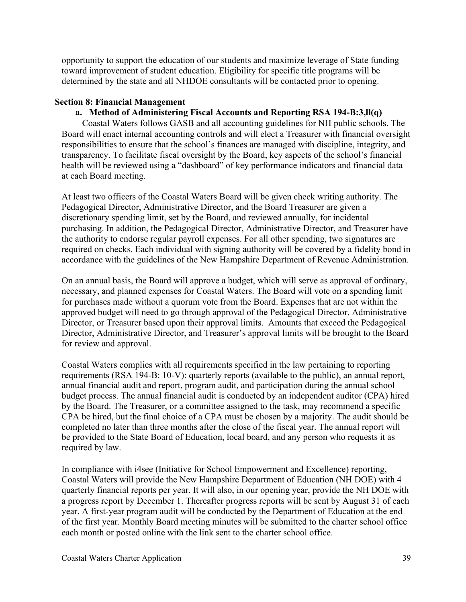opportunity to support the education of our students and maximize leverage of State funding toward improvement of student education. Eligibility for specific title programs will be determined by the state and all NHDOE consultants will be contacted prior to opening.

#### **Section 8: Financial Management**

## **a. Method of Administering Fiscal Accounts and Reporting RSA 194-B:3,ll(q)**

Coastal Waters follows GASB and all accounting guidelines for NH public schools. The Board will enact internal accounting controls and will elect a Treasurer with financial oversight responsibilities to ensure that the school's finances are managed with discipline, integrity, and transparency. To facilitate fiscal oversight by the Board, key aspects of the school's financial health will be reviewed using a "dashboard" of key performance indicators and financial data at each Board meeting.

At least two officers of the Coastal Waters Board will be given check writing authority. The Pedagogical Director, Administrative Director, and the Board Treasurer are given a discretionary spending limit, set by the Board, and reviewed annually, for incidental purchasing. In addition, the Pedagogical Director, Administrative Director, and Treasurer have the authority to endorse regular payroll expenses. For all other spending, two signatures are required on checks. Each individual with signing authority will be covered by a fidelity bond in accordance with the guidelines of the New Hampshire Department of Revenue Administration.

On an annual basis, the Board will approve a budget, which will serve as approval of ordinary, necessary, and planned expenses for Coastal Waters. The Board will vote on a spending limit for purchases made without a quorum vote from the Board. Expenses that are not within the approved budget will need to go through approval of the Pedagogical Director, Administrative Director, or Treasurer based upon their approval limits. Amounts that exceed the Pedagogical Director, Administrative Director, and Treasurer's approval limits will be brought to the Board for review and approval.

Coastal Waters complies with all requirements specified in the law pertaining to reporting requirements (RSA 194-B: 10-V): quarterly reports (available to the public), an annual report, annual financial audit and report, program audit, and participation during the annual school budget process. The annual financial audit is conducted by an independent auditor (CPA) hired by the Board. The Treasurer, or a committee assigned to the task, may recommend a specific CPA be hired, but the final choice of a CPA must be chosen by a majority. The audit should be completed no later than three months after the close of the fiscal year. The annual report will be provided to the State Board of Education, local board, and any person who requests it as required by law.

In compliance with i4see (Initiative for School Empowerment and Excellence) reporting, Coastal Waters will provide the New Hampshire Department of Education (NH DOE) with 4 quarterly financial reports per year. It will also, in our opening year, provide the NH DOE with a progress report by December 1. Thereafter progress reports will be sent by August 31 of each year. A first-year program audit will be conducted by the Department of Education at the end of the first year. Monthly Board meeting minutes will be submitted to the charter school office each month or posted online with the link sent to the charter school office.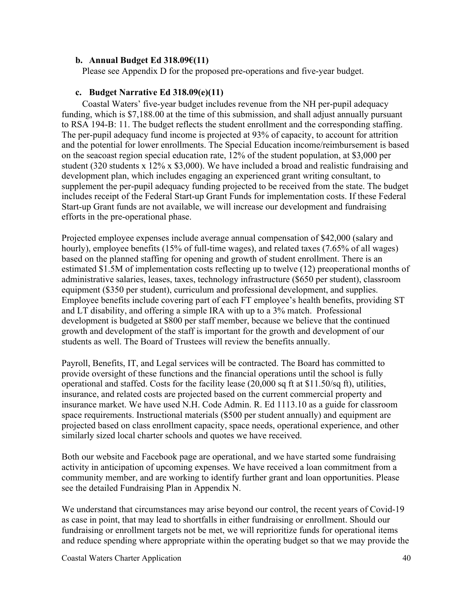#### **b. Annual Budget Ed 318.09€(11)**

Please see Appendix D for the proposed pre-operations and five-year budget.

#### **c. Budget Narrative Ed 318.09(e)(11)**

Coastal Waters' five-year budget includes revenue from the NH per-pupil adequacy funding, which is \$7,188.00 at the time of this submission, and shall adjust annually pursuant to RSA 194-B: 11. The budget reflects the student enrollment and the corresponding staffing. The per-pupil adequacy fund income is projected at 93% of capacity, to account for attrition and the potential for lower enrollments. The Special Education income/reimbursement is based on the seacoast region special education rate, 12% of the student population, at \$3,000 per student (320 students x 12% x \$3,000). We have included a broad and realistic fundraising and development plan, which includes engaging an experienced grant writing consultant, to supplement the per-pupil adequacy funding projected to be received from the state. The budget includes receipt of the Federal Start-up Grant Funds for implementation costs. If these Federal Start-up Grant funds are not available, we will increase our development and fundraising efforts in the pre-operational phase.

Projected employee expenses include average annual compensation of \$42,000 (salary and hourly), employee benefits (15% of full-time wages), and related taxes (7.65% of all wages) based on the planned staffing for opening and growth of student enrollment. There is an estimated \$1.5M of implementation costs reflecting up to twelve (12) preoperational months of administrative salaries, leases, taxes, technology infrastructure (\$650 per student), classroom equipment (\$350 per student), curriculum and professional development, and supplies. Employee benefits include covering part of each FT employee's health benefits, providing ST and LT disability, and offering a simple IRA with up to a 3% match. Professional development is budgeted at \$800 per staff member, because we believe that the continued growth and development of the staff is important for the growth and development of our students as well. The Board of Trustees will review the benefits annually.

Payroll, Benefits, IT, and Legal services will be contracted. The Board has committed to provide oversight of these functions and the financial operations until the school is fully operational and staffed. Costs for the facility lease  $(20,000 \text{ sq ft at } $11.50/\text{sq ft})$ , utilities, insurance, and related costs are projected based on the current commercial property and insurance market. We have used N.H. Code Admin. R. Ed 1113.10 as a guide for classroom space requirements. Instructional materials (\$500 per student annually) and equipment are projected based on class enrollment capacity, space needs, operational experience, and other similarly sized local charter schools and quotes we have received.

Both our website and Facebook page are operational, and we have started some fundraising activity in anticipation of upcoming expenses. We have received a loan commitment from a community member, and are working to identify further grant and loan opportunities. Please see the detailed Fundraising Plan in Appendix N.

We understand that circumstances may arise beyond our control, the recent years of Covid-19 as case in point, that may lead to shortfalls in either fundraising or enrollment. Should our fundraising or enrollment targets not be met, we will reprioritize funds for operational items and reduce spending where appropriate within the operating budget so that we may provide the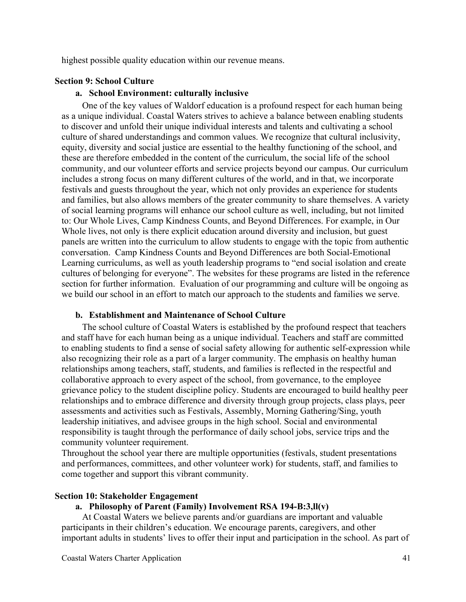highest possible quality education within our revenue means.

#### **Section 9: School Culture**

#### **a. School Environment: culturally inclusive**

One of the key values of Waldorf education is a profound respect for each human being as a unique individual. Coastal Waters strives to achieve a balance between enabling students to discover and unfold their unique individual interests and talents and cultivating a school culture of shared understandings and common values. We recognize that cultural inclusivity, equity, diversity and social justice are essential to the healthy functioning of the school, and these are therefore embedded in the content of the curriculum, the social life of the school community, and our volunteer efforts and service projects beyond our campus. Our curriculum includes a strong focus on many different cultures of the world, and in that, we incorporate festivals and guests throughout the year, which not only provides an experience for students and families, but also allows members of the greater community to share themselves. A variety of social learning programs will enhance our school culture as well, including, but not limited to: Our Whole Lives, Camp Kindness Counts, and Beyond Differences. For example, in Our Whole lives, not only is there explicit education around diversity and inclusion, but guest panels are written into the curriculum to allow students to engage with the topic from authentic conversation. Camp Kindness Counts and Beyond Differences are both Social-Emotional Learning curriculums, as well as youth leadership programs to "end social isolation and create cultures of belonging for everyone". The websites for these programs are listed in the reference section for further information. Evaluation of our programming and culture will be ongoing as we build our school in an effort to match our approach to the students and families we serve.

#### **b. Establishment and Maintenance of School Culture**

The school culture of Coastal Waters is established by the profound respect that teachers and staff have for each human being as a unique individual. Teachers and staff are committed to enabling students to find a sense of social safety allowing for authentic self-expression while also recognizing their role as a part of a larger community. The emphasis on healthy human relationships among teachers, staff, students, and families is reflected in the respectful and collaborative approach to every aspect of the school, from governance, to the employee grievance policy to the student discipline policy. Students are encouraged to build healthy peer relationships and to embrace difference and diversity through group projects, class plays, peer assessments and activities such as Festivals, Assembly, Morning Gathering/Sing, youth leadership initiatives, and advisee groups in the high school. Social and environmental responsibility is taught through the performance of daily school jobs, service trips and the community volunteer requirement.

Throughout the school year there are multiple opportunities (festivals, student presentations and performances, committees, and other volunteer work) for students, staff, and families to come together and support this vibrant community.

#### **Section 10: Stakeholder Engagement**

#### **a. Philosophy of Parent (Family) Involvement RSA 194-B:3,ll(v)**

At Coastal Waters we believe parents and/or guardians are important and valuable participants in their children's education. We encourage parents, caregivers, and other important adults in students' lives to offer their input and participation in the school. As part of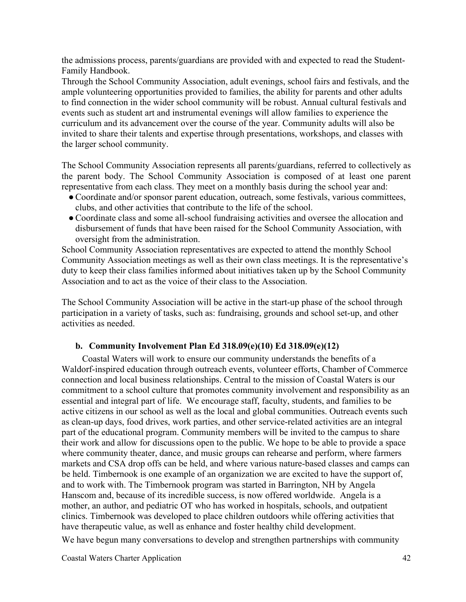the admissions process, parents/guardians are provided with and expected to read the Student-Family Handbook.

Through the School Community Association, adult evenings, school fairs and festivals, and the ample volunteering opportunities provided to families, the ability for parents and other adults to find connection in the wider school community will be robust. Annual cultural festivals and events such as student art and instrumental evenings will allow families to experience the curriculum and its advancement over the course of the year. Community adults will also be invited to share their talents and expertise through presentations, workshops, and classes with the larger school community.

The School Community Association represents all parents/guardians, referred to collectively as the parent body. The School Community Association is composed of at least one parent representative from each class. They meet on a monthly basis during the school year and:

- ●Coordinate and/or sponsor parent education, outreach, some festivals, various committees, clubs, and other activities that contribute to the life of the school.
- ●Coordinate class and some all-school fundraising activities and oversee the allocation and disbursement of funds that have been raised for the School Community Association, with oversight from the administration.

School Community Association representatives are expected to attend the monthly School Community Association meetings as well as their own class meetings. It is the representative's duty to keep their class families informed about initiatives taken up by the School Community Association and to act as the voice of their class to the Association.

The School Community Association will be active in the start-up phase of the school through participation in a variety of tasks, such as: fundraising, grounds and school set-up, and other activities as needed.

## **b. Community Involvement Plan Ed 318.09(e)(10) Ed 318.09(e)(12)**

Coastal Waters will work to ensure our community understands the benefits of a Waldorf-inspired education through outreach events, volunteer efforts, Chamber of Commerce connection and local business relationships. Central to the mission of Coastal Waters is our commitment to a school culture that promotes community involvement and responsibility as an essential and integral part of life. We encourage staff, faculty, students, and families to be active citizens in our school as well as the local and global communities. Outreach events such as clean-up days, food drives, work parties, and other service-related activities are an integral part of the educational program. Community members will be invited to the campus to share their work and allow for discussions open to the public. We hope to be able to provide a space where community theater, dance, and music groups can rehearse and perform, where farmers markets and CSA drop offs can be held, and where various nature-based classes and camps can be held. Timbernook is one example of an organization we are excited to have the support of, and to work with. The Timbernook program was started in Barrington, NH by Angela Hanscom and, because of its incredible success, is now offered worldwide. Angela is a mother, an author, and pediatric OT who has worked in hospitals, schools, and outpatient clinics. Timbernook was developed to place children outdoors while offering activities that have therapeutic value, as well as enhance and foster healthy child development.

We have begun many conversations to develop and strengthen partnerships with community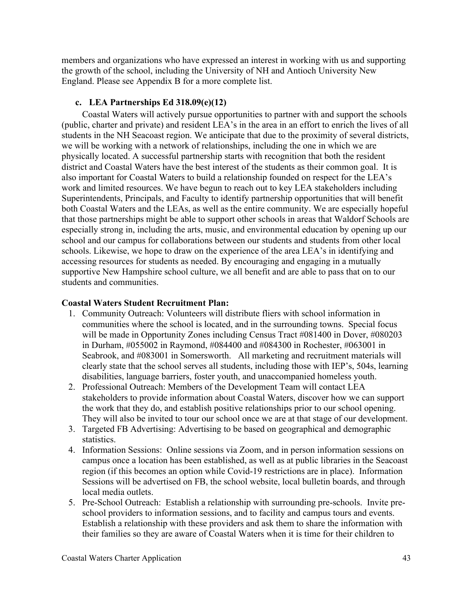members and organizations who have expressed an interest in working with us and supporting the growth of the school, including the University of NH and Antioch University New England. Please see Appendix B for a more complete list.

## **c. LEA Partnerships Ed 318.09(e)(12)**

Coastal Waters will actively pursue opportunities to partner with and support the schools (public, charter and private) and resident LEA's in the area in an effort to enrich the lives of all students in the NH Seacoast region. We anticipate that due to the proximity of several districts, we will be working with a network of relationships, including the one in which we are physically located. A successful partnership starts with recognition that both the resident district and Coastal Waters have the best interest of the students as their common goal. It is also important for Coastal Waters to build a relationship founded on respect for the LEA's work and limited resources. We have begun to reach out to key LEA stakeholders including Superintendents, Principals, and Faculty to identify partnership opportunities that will benefit both Coastal Waters and the LEAs, as well as the entire community. We are especially hopeful that those partnerships might be able to support other schools in areas that Waldorf Schools are especially strong in, including the arts, music, and environmental education by opening up our school and our campus for collaborations between our students and students from other local schools. Likewise, we hope to draw on the experience of the area LEA's in identifying and accessing resources for students as needed. By encouraging and engaging in a mutually supportive New Hampshire school culture, we all benefit and are able to pass that on to our students and communities.

## **Coastal Waters Student Recruitment Plan:**

- 1. Community Outreach: Volunteers will distribute fliers with school information in communities where the school is located, and in the surrounding towns. Special focus will be made in Opportunity Zones including Census Tract #081400 in Dover, #080203 in Durham, #055002 in Raymond, #084400 and #084300 in Rochester, #063001 in Seabrook, and #083001 in Somersworth. All marketing and recruitment materials will clearly state that the school serves all students, including those with IEP's, 504s, learning disabilities, language barriers, foster youth, and unaccompanied homeless youth.
- 2. Professional Outreach: Members of the Development Team will contact LEA stakeholders to provide information about Coastal Waters, discover how we can support the work that they do, and establish positive relationships prior to our school opening. They will also be invited to tour our school once we are at that stage of our development.
- 3. Targeted FB Advertising: Advertising to be based on geographical and demographic statistics.
- 4. Information Sessions: Online sessions via Zoom, and in person information sessions on campus once a location has been established, as well as at public libraries in the Seacoast region (if this becomes an option while Covid-19 restrictions are in place). Information Sessions will be advertised on FB, the school website, local bulletin boards, and through local media outlets.
- 5. Pre-School Outreach: Establish a relationship with surrounding pre-schools. Invite preschool providers to information sessions, and to facility and campus tours and events. Establish a relationship with these providers and ask them to share the information with their families so they are aware of Coastal Waters when it is time for their children to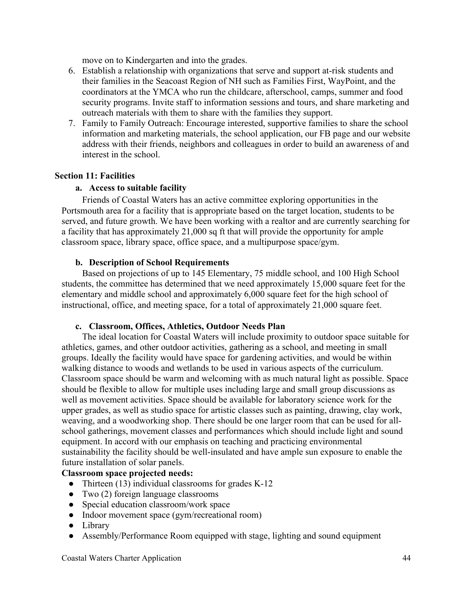move on to Kindergarten and into the grades.

- 6. Establish a relationship with organizations that serve and support at-risk students and their families in the Seacoast Region of NH such as Families First, WayPoint, and the coordinators at the YMCA who run the childcare, afterschool, camps, summer and food security programs. Invite staff to information sessions and tours, and share marketing and outreach materials with them to share with the families they support.
- 7. Family to Family Outreach: Encourage interested, supportive families to share the school information and marketing materials, the school application, our FB page and our website address with their friends, neighbors and colleagues in order to build an awareness of and interest in the school.

#### **Section 11: Facilities**

#### **a. Access to suitable facility**

Friends of Coastal Waters has an active committee exploring opportunities in the Portsmouth area for a facility that is appropriate based on the target location, students to be served, and future growth. We have been working with a realtor and are currently searching for a facility that has approximately 21,000 sq ft that will provide the opportunity for ample classroom space, library space, office space, and a multipurpose space/gym.

#### **b. Description of School Requirements**

Based on projections of up to 145 Elementary, 75 middle school, and 100 High School students, the committee has determined that we need approximately 15,000 square feet for the elementary and middle school and approximately 6,000 square feet for the high school of instructional, office, and meeting space, for a total of approximately 21,000 square feet.

#### **c. Classroom, Offices, Athletics, Outdoor Needs Plan**

The ideal location for Coastal Waters will include proximity to outdoor space suitable for athletics, games, and other outdoor activities, gathering as a school, and meeting in small groups. Ideally the facility would have space for gardening activities, and would be within walking distance to woods and wetlands to be used in various aspects of the curriculum. Classroom space should be warm and welcoming with as much natural light as possible. Space should be flexible to allow for multiple uses including large and small group discussions as well as movement activities. Space should be available for laboratory science work for the upper grades, as well as studio space for artistic classes such as painting, drawing, clay work, weaving, and a woodworking shop. There should be one larger room that can be used for allschool gatherings, movement classes and performances which should include light and sound equipment. In accord with our emphasis on teaching and practicing environmental sustainability the facility should be well-insulated and have ample sun exposure to enable the future installation of solar panels.

## **Classroom space projected needs:**

- Thirteen (13) individual classrooms for grades K-12
- Two (2) foreign language classrooms
- Special education classroom/work space
- Indoor movement space (gym/recreational room)
- Library
- Assembly/Performance Room equipped with stage, lighting and sound equipment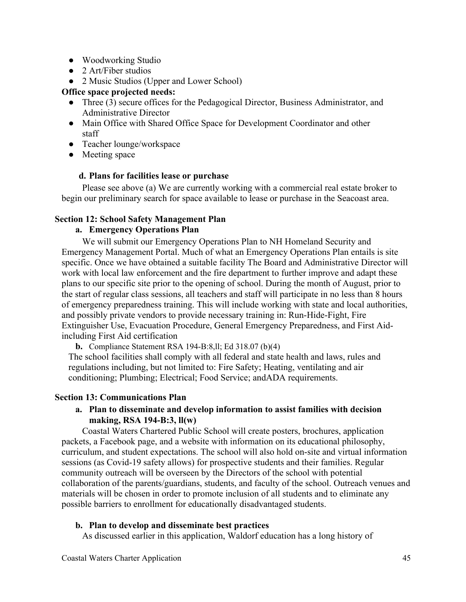- Woodworking Studio
- 2 Art/Fiber studios
- 2 Music Studios (Upper and Lower School)

# **Office space projected needs:**

- Three (3) secure offices for the Pedagogical Director, Business Administrator, and Administrative Director
- Main Office with Shared Office Space for Development Coordinator and other staff
- Teacher lounge/workspace
- Meeting space

## **d. Plans for facilities lease or purchase**

Please see above (a) We are currently working with a commercial real estate broker to begin our preliminary search for space available to lease or purchase in the Seacoast area.

## **Section 12: School Safety Management Plan**

## **a. Emergency Operations Plan**

We will submit our Emergency Operations Plan to NH Homeland Security and Emergency Management Portal. Much of what an Emergency Operations Plan entails is site specific. Once we have obtained a suitable facility The Board and Administrative Director will work with local law enforcement and the fire department to further improve and adapt these plans to our specific site prior to the opening of school. During the month of August, prior to the start of regular class sessions, all teachers and staff will participate in no less than 8 hours of emergency preparedness training. This will include working with state and local authorities, and possibly private vendors to provide necessary training in: Run-Hide-Fight, Fire Extinguisher Use, Evacuation Procedure, General Emergency Preparedness, and First Aidincluding First Aid certification

**b.** Compliance Statement RSA 194-B:8,ll; Ed 318.07 (b)(4)

The school facilities shall comply with all federal and state health and laws, rules and regulations including, but not limited to: Fire Safety; Heating, ventilating and air conditioning; Plumbing; Electrical; Food Service; andADA requirements.

## **Section 13: Communications Plan**

## **a. Plan to disseminate and develop information to assist families with decision making, RSA 194-B:3, ll(w)**

Coastal Waters Chartered Public School will create posters, brochures, application packets, a Facebook page, and a website with information on its educational philosophy, curriculum, and student expectations. The school will also hold on-site and virtual information sessions (as Covid-19 safety allows) for prospective students and their families. Regular community outreach will be overseen by the Directors of the school with potential collaboration of the parents/guardians, students, and faculty of the school. Outreach venues and materials will be chosen in order to promote inclusion of all students and to eliminate any possible barriers to enrollment for educationally disadvantaged students.

# **b. Plan to develop and disseminate best practices**

As discussed earlier in this application, Waldorf education has a long history of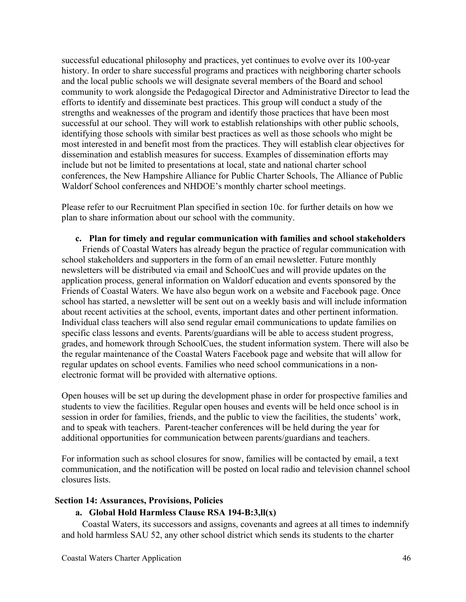successful educational philosophy and practices, yet continues to evolve over its 100-year history. In order to share successful programs and practices with neighboring charter schools and the local public schools we will designate several members of the Board and school community to work alongside the Pedagogical Director and Administrative Director to lead the efforts to identify and disseminate best practices. This group will conduct a study of the strengths and weaknesses of the program and identify those practices that have been most successful at our school. They will work to establish relationships with other public schools, identifying those schools with similar best practices as well as those schools who might be most interested in and benefit most from the practices. They will establish clear objectives for dissemination and establish measures for success. Examples of dissemination efforts may include but not be limited to presentations at local, state and national charter school conferences, the New Hampshire Alliance for Public Charter Schools, The Alliance of Public Waldorf School conferences and NHDOE's monthly charter school meetings.

Please refer to our Recruitment Plan specified in section 10c. for further details on how we plan to share information about our school with the community.

#### **c. Plan for timely and regular communication with families and school stakeholders**

Friends of Coastal Waters has already begun the practice of regular communication with school stakeholders and supporters in the form of an email newsletter. Future monthly newsletters will be distributed via email and SchoolCues and will provide updates on the application process, general information on Waldorf education and events sponsored by the Friends of Coastal Waters. We have also begun work on a website and Facebook page. Once school has started, a newsletter will be sent out on a weekly basis and will include information about recent activities at the school, events, important dates and other pertinent information. Individual class teachers will also send regular email communications to update families on specific class lessons and events. Parents/guardians will be able to access student progress, grades, and homework through SchoolCues, the student information system. There will also be the regular maintenance of the Coastal Waters Facebook page and website that will allow for regular updates on school events. Families who need school communications in a nonelectronic format will be provided with alternative options.

Open houses will be set up during the development phase in order for prospective families and students to view the facilities. Regular open houses and events will be held once school is in session in order for families, friends, and the public to view the facilities, the students' work, and to speak with teachers. Parent-teacher conferences will be held during the year for additional opportunities for communication between parents/guardians and teachers.

For information such as school closures for snow, families will be contacted by email, a text communication, and the notification will be posted on local radio and television channel school closures lists.

#### **Section 14: Assurances, Provisions, Policies**

#### **a. Global Hold Harmless Clause RSA 194-B:3,ll(x)**

Coastal Waters, its successors and assigns, covenants and agrees at all times to indemnify and hold harmless SAU 52, any other school district which sends its students to the charter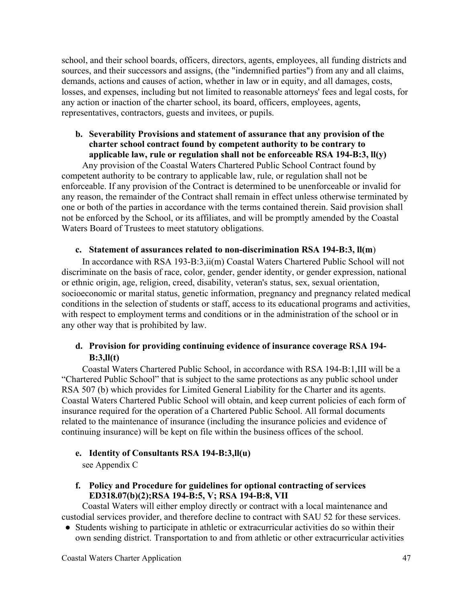school, and their school boards, officers, directors, agents, employees, all funding districts and sources, and their successors and assigns, (the "indemnified parties") from any and all claims, demands, actions and causes of action, whether in law or in equity, and all damages, costs, losses, and expenses, including but not limited to reasonable attorneys' fees and legal costs, for any action or inaction of the charter school, its board, officers, employees, agents, representatives, contractors, guests and invitees, or pupils.

## **b. Severability Provisions and statement of assurance that any provision of the charter school contract found by competent authority to be contrary to applicable law, rule or regulation shall not be enforceable RSA 194-B:3, ll(y)**

Any provision of the Coastal Waters Chartered Public School Contract found by competent authority to be contrary to applicable law, rule, or regulation shall not be enforceable. If any provision of the Contract is determined to be unenforceable or invalid for any reason, the remainder of the Contract shall remain in effect unless otherwise terminated by one or both of the parties in accordance with the terms contained therein. Said provision shall not be enforced by the School, or its affiliates, and will be promptly amended by the Coastal Waters Board of Trustees to meet statutory obligations.

#### **c. Statement of assurances related to non-discrimination RSA 194-B:3, ll(m**)

In accordance with RSA 193-B:3,ii(m) Coastal Waters Chartered Public School will not discriminate on the basis of race, color, gender, gender identity, or gender expression, national or ethnic origin, age, religion, creed, disability, veteran's status, sex, sexual orientation, socioeconomic or marital status, genetic information, pregnancy and pregnancy related medical conditions in the selection of students or staff, access to its educational programs and activities, with respect to employment terms and conditions or in the administration of the school or in any other way that is prohibited by law.

## **d. Provision for providing continuing evidence of insurance coverage RSA 194- B:3,ll(t)**

Coastal Waters Chartered Public School, in accordance with RSA 194-B:1,III will be a "Chartered Public School" that is subject to the same protections as any public school under RSA 507 (b) which provides for Limited General Liability for the Charter and its agents. Coastal Waters Chartered Public School will obtain, and keep current policies of each form of insurance required for the operation of a Chartered Public School. All formal documents related to the maintenance of insurance (including the insurance policies and evidence of continuing insurance) will be kept on file within the business offices of the school.

## **e. Identity of Consultants RSA 194-B:3,ll(u)**

see Appendix C

## **f. Policy and Procedure for guidelines for optional contracting of services ED318.07(b)(2);RSA 194-B:5, V; RSA 194-B:8, VII**

Coastal Waters will either employ directly or contract with a local maintenance and custodial services provider, and therefore decline to contract with SAU 52 for these services.

• Students wishing to participate in athletic or extracurricular activities do so within their own sending district. Transportation to and from athletic or other extracurricular activities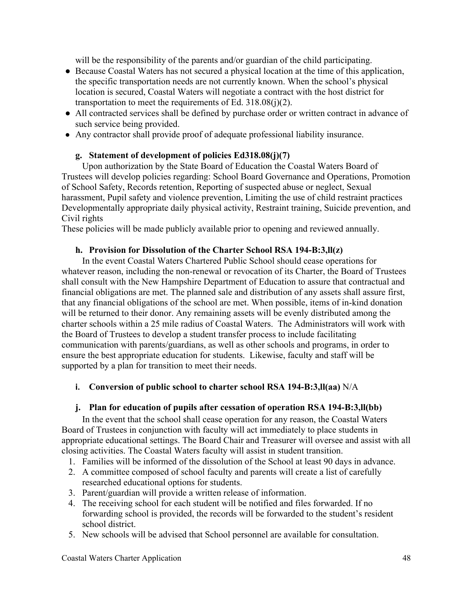will be the responsibility of the parents and/or guardian of the child participating.

- Because Coastal Waters has not secured a physical location at the time of this application, the specific transportation needs are not currently known. When the school's physical location is secured, Coastal Waters will negotiate a contract with the host district for transportation to meet the requirements of Ed.  $318.08(i)(2)$ .
- All contracted services shall be defined by purchase order or written contract in advance of such service being provided.
- Any contractor shall provide proof of adequate professional liability insurance.

## **g. Statement of development of policies Ed318.08(j)(7)**

Upon authorization by the State Board of Education the Coastal Waters Board of Trustees will develop policies regarding: School Board Governance and Operations, Promotion of School Safety, Records retention, Reporting of suspected abuse or neglect, Sexual harassment, Pupil safety and violence prevention, Limiting the use of child restraint practices Developmentally appropriate daily physical activity, Restraint training, Suicide prevention, and Civil rights

These policies will be made publicly available prior to opening and reviewed annually.

## **h. Provision for Dissolution of the Charter School RSA 194-B:3,ll(z)**

In the event Coastal Waters Chartered Public School should cease operations for whatever reason, including the non-renewal or revocation of its Charter, the Board of Trustees shall consult with the New Hampshire Department of Education to assure that contractual and financial obligations are met. The planned sale and distribution of any assets shall assure first, that any financial obligations of the school are met. When possible, items of in-kind donation will be returned to their donor. Any remaining assets will be evenly distributed among the charter schools within a 25 mile radius of Coastal Waters. The Administrators will work with the Board of Trustees to develop a student transfer process to include facilitating communication with parents/guardians, as well as other schools and programs, in order to ensure the best appropriate education for students. Likewise, faculty and staff will be supported by a plan for transition to meet their needs.

## **i. Conversion of public school to charter school RSA 194-B:3,ll(aa)** N/A

# **j. Plan for education of pupils after cessation of operation RSA 194-B:3,ll(bb)**

In the event that the school shall cease operation for any reason, the Coastal Waters Board of Trustees in conjunction with faculty will act immediately to place students in appropriate educational settings. The Board Chair and Treasurer will oversee and assist with all closing activities. The Coastal Waters faculty will assist in student transition.

- 1. Families will be informed of the dissolution of the School at least 90 days in advance.
- 2. A committee composed of school faculty and parents will create a list of carefully researched educational options for students.
- 3. Parent/guardian will provide a written release of information.
- 4. The receiving school for each student will be notified and files forwarded. If no forwarding school is provided, the records will be forwarded to the student's resident school district.
- 5. New schools will be advised that School personnel are available for consultation.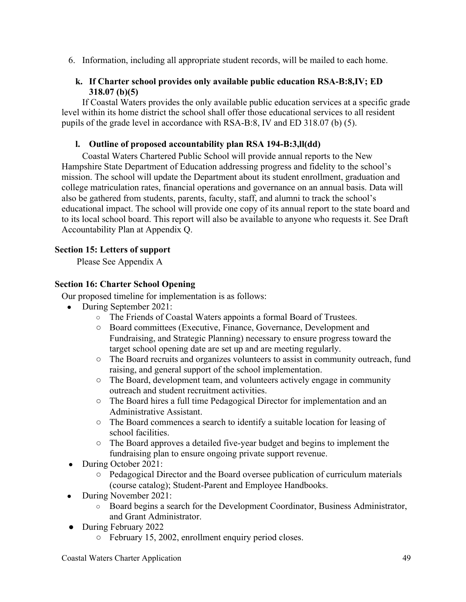6. Information, including all appropriate student records, will be mailed to each home.

## **k. If Charter school provides only available public education RSA-B:8,IV; ED 318.07 (b)(5)**

If Coastal Waters provides the only available public education services at a specific grade level within its home district the school shall offer those educational services to all resident pupils of the grade level in accordance with RSA-B:8, IV and ED 318.07 (b) (5).

# **l. Outline of proposed accountability plan RSA 194-B:3,ll(dd)**

Coastal Waters Chartered Public School will provide annual reports to the New Hampshire State Department of Education addressing progress and fidelity to the school's mission. The school will update the Department about its student enrollment, graduation and college matriculation rates, financial operations and governance on an annual basis. Data will also be gathered from students, parents, faculty, staff, and alumni to track the school's educational impact. The school will provide one copy of its annual report to the state board and to its local school board. This report will also be available to anyone who requests it. See Draft Accountability Plan at Appendix Q.

## **Section 15: Letters of support**

Please See Appendix A

## **Section 16: Charter School Opening**

Our proposed timeline for implementation is as follows:

- During September 2021:
	- The Friends of Coastal Waters appoints a formal Board of Trustees.
	- Board committees (Executive, Finance, Governance, Development and Fundraising, and Strategic Planning) necessary to ensure progress toward the target school opening date are set up and are meeting regularly.
	- The Board recruits and organizes volunteers to assist in community outreach, fund raising, and general support of the school implementation.
	- The Board, development team, and volunteers actively engage in community outreach and student recruitment activities.
	- The Board hires a full time Pedagogical Director for implementation and an Administrative Assistant.
	- The Board commences a search to identify a suitable location for leasing of school facilities.
	- The Board approves a detailed five-year budget and begins to implement the fundraising plan to ensure ongoing private support revenue.
- During October 2021:
	- Pedagogical Director and the Board oversee publication of curriculum materials (course catalog); Student-Parent and Employee Handbooks.
- During November 2021:
	- Board begins a search for the Development Coordinator, Business Administrator, and Grant Administrator.
- During February 2022
	- February 15, 2002, enrollment enquiry period closes.